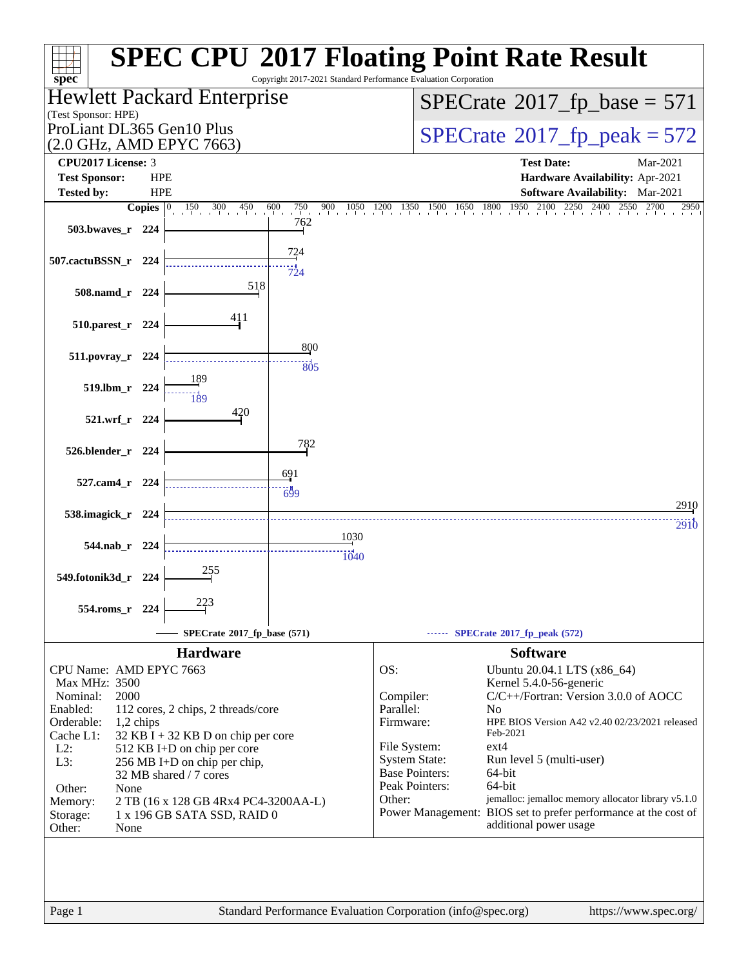| spec <sup>®</sup>                                      |                    |                                      |                          | Copyright 2017-2021 Standard Performance Evaluation Corporation | <b>SPEC CPU®2017 Floating Point Rate Result</b>                                           |  |  |  |
|--------------------------------------------------------|--------------------|--------------------------------------|--------------------------|-----------------------------------------------------------------|-------------------------------------------------------------------------------------------|--|--|--|
|                                                        |                    | Hewlett Packard Enterprise           |                          |                                                                 | $SPECrate^{\circ}2017$ _fp_base = 571                                                     |  |  |  |
| (Test Sponsor: HPE)                                    |                    |                                      |                          |                                                                 |                                                                                           |  |  |  |
| ProLiant DL365 Gen10 Plus<br>(2.0 GHz, AMD EPYC 7663)  |                    |                                      |                          |                                                                 | $SPECTate@2017_fp\_peak = 572$                                                            |  |  |  |
| <b>CPU2017 License: 3</b>                              |                    |                                      |                          |                                                                 | <b>Test Date:</b><br>Mar-2021                                                             |  |  |  |
| <b>Test Sponsor:</b>                                   | <b>HPE</b>         |                                      |                          |                                                                 | Hardware Availability: Apr-2021                                                           |  |  |  |
| <b>Tested by:</b>                                      | <b>HPE</b>         |                                      |                          |                                                                 | <b>Software Availability:</b> Mar-2021                                                    |  |  |  |
|                                                        | Copies $ 0\rangle$ | $150$ 300 450                        | $600$ 750<br>900<br>1050 | 1200<br>1500<br>1350<br>1650                                    | 2100<br>1950<br>1800<br>2700<br>2950                                                      |  |  |  |
| 503.bwaves_r 224                                       |                    |                                      | 762                      |                                                                 |                                                                                           |  |  |  |
| 507.cactuBSSN_r 224                                    |                    |                                      | <u>724</u><br>724        |                                                                 |                                                                                           |  |  |  |
| 508.namd_r 224                                         |                    | 518                                  |                          |                                                                 |                                                                                           |  |  |  |
| 510.parest_r 224                                       |                    | 411                                  |                          |                                                                 |                                                                                           |  |  |  |
| 511.povray_r 224                                       |                    |                                      | 800<br>805               |                                                                 |                                                                                           |  |  |  |
| 519.lbm_r 224                                          |                    | 189<br><br>189                       |                          |                                                                 |                                                                                           |  |  |  |
| 521.wrf_r 224                                          |                    | 420                                  |                          |                                                                 |                                                                                           |  |  |  |
| 526.blender_r 224                                      |                    |                                      | 782                      |                                                                 |                                                                                           |  |  |  |
| 527.cam4_r 224                                         |                    |                                      | 691<br>$-699$            |                                                                 |                                                                                           |  |  |  |
| 538.imagick_r 224                                      |                    |                                      |                          |                                                                 | 2910                                                                                      |  |  |  |
|                                                        |                    |                                      |                          |                                                                 | <b>2910</b>                                                                               |  |  |  |
| 544.nab_r 224                                          |                    |                                      | 1030                     |                                                                 |                                                                                           |  |  |  |
|                                                        |                    |                                      | 1040                     |                                                                 |                                                                                           |  |  |  |
| 549.fotonik3d_r 224                                    |                    | 255                                  |                          |                                                                 |                                                                                           |  |  |  |
|                                                        |                    |                                      |                          |                                                                 |                                                                                           |  |  |  |
| 554.roms_r 224                                         |                    | 223                                  |                          |                                                                 |                                                                                           |  |  |  |
|                                                        |                    | SPECrate®2017_fp_base (571)          |                          |                                                                 | SPECrate <sup>®</sup> 2017_fp_peak (572)                                                  |  |  |  |
|                                                        |                    | <b>Hardware</b>                      |                          |                                                                 | <b>Software</b>                                                                           |  |  |  |
| CPU Name: AMD EPYC 7663                                |                    |                                      |                          | OS:                                                             |                                                                                           |  |  |  |
| Max MHz: 3500                                          |                    |                                      |                          |                                                                 | Ubuntu 20.04.1 LTS (x86_64)<br>Kernel 5.4.0-56-generic                                    |  |  |  |
| Nominal:<br>2000                                       |                    |                                      |                          | Compiler:                                                       | C/C++/Fortran: Version 3.0.0 of AOCC                                                      |  |  |  |
| Enabled:                                               |                    | 112 cores, 2 chips, 2 threads/core   |                          | Parallel:                                                       | N <sub>0</sub>                                                                            |  |  |  |
| Orderable:<br>1,2 chips                                |                    |                                      |                          | Firmware:                                                       | HPE BIOS Version A42 v2.40 02/23/2021 released                                            |  |  |  |
| Cache L1:                                              |                    | $32$ KB I + 32 KB D on chip per core |                          | File System:                                                    | Feb-2021<br>$ext{4}$                                                                      |  |  |  |
| $L2$ :<br>L3:                                          |                    | 512 KB I+D on chip per core          |                          | <b>System State:</b>                                            | Run level 5 (multi-user)                                                                  |  |  |  |
| 256 MB I+D on chip per chip,<br>32 MB shared / 7 cores |                    |                                      |                          | <b>Base Pointers:</b>                                           | 64-bit                                                                                    |  |  |  |
| Other:<br>None                                         |                    |                                      |                          | Peak Pointers:                                                  | $64$ -bit                                                                                 |  |  |  |
| Memory:                                                |                    | 2 TB (16 x 128 GB 4Rx4 PC4-3200AA-L) |                          | Other:                                                          | jemalloc: jemalloc memory allocator library v5.1.0                                        |  |  |  |
| Storage:<br>Other:<br>None                             |                    | 1 x 196 GB SATA SSD, RAID 0          |                          |                                                                 | Power Management: BIOS set to prefer performance at the cost of<br>additional power usage |  |  |  |
|                                                        |                    |                                      |                          |                                                                 |                                                                                           |  |  |  |
|                                                        |                    |                                      |                          |                                                                 |                                                                                           |  |  |  |
|                                                        |                    |                                      |                          |                                                                 |                                                                                           |  |  |  |
|                                                        |                    |                                      |                          |                                                                 |                                                                                           |  |  |  |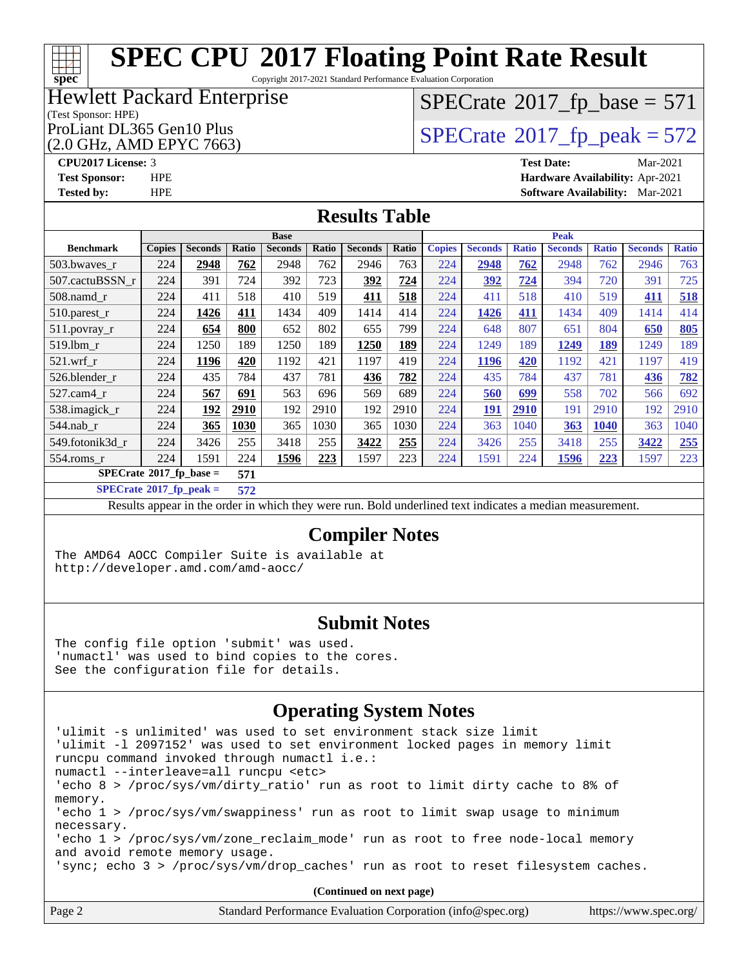## **[SPEC CPU](http://www.spec.org/auto/cpu2017/Docs/result-fields.html#SPECCPU2017FloatingPointRateResult)[2017 Floating Point Rate Result](http://www.spec.org/auto/cpu2017/Docs/result-fields.html#SPECCPU2017FloatingPointRateResult)**

Copyright 2017-2021 Standard Performance Evaluation Corporation

### Hewlett Packard Enterprise

#### (Test Sponsor: HPE)

(2.0 GHz, AMD EPYC 7663)

## $SPECTate$ <sup>®</sup>[2017\\_fp\\_base =](http://www.spec.org/auto/cpu2017/Docs/result-fields.html#SPECrate2017fpbase) 571

ProLiant DL365 Gen10 Plus  $\begin{array}{c} | \text{SPECrate} \textcirc 2017\_fp\_peak = 572 \end{array}$  $\begin{array}{c} | \text{SPECrate} \textcirc 2017\_fp\_peak = 572 \end{array}$  $\begin{array}{c} | \text{SPECrate} \textcirc 2017\_fp\_peak = 572 \end{array}$ 

**[CPU2017 License:](http://www.spec.org/auto/cpu2017/Docs/result-fields.html#CPU2017License)** 3 **[Test Date:](http://www.spec.org/auto/cpu2017/Docs/result-fields.html#TestDate)** Mar-2021 **[Test Sponsor:](http://www.spec.org/auto/cpu2017/Docs/result-fields.html#TestSponsor)** HPE **[Hardware Availability:](http://www.spec.org/auto/cpu2017/Docs/result-fields.html#HardwareAvailability)** Apr-2021 **[Tested by:](http://www.spec.org/auto/cpu2017/Docs/result-fields.html#Testedby)** HPE **[Software Availability:](http://www.spec.org/auto/cpu2017/Docs/result-fields.html#SoftwareAvailability)** Mar-2021

### **[Results Table](http://www.spec.org/auto/cpu2017/Docs/result-fields.html#ResultsTable)**

|                                           | <b>Base</b>   |                |       |                |       |                | <b>Peak</b> |               |                |              |                |              |                |              |
|-------------------------------------------|---------------|----------------|-------|----------------|-------|----------------|-------------|---------------|----------------|--------------|----------------|--------------|----------------|--------------|
| <b>Benchmark</b>                          | <b>Copies</b> | <b>Seconds</b> | Ratio | <b>Seconds</b> | Ratio | <b>Seconds</b> | Ratio       | <b>Copies</b> | <b>Seconds</b> | <b>Ratio</b> | <b>Seconds</b> | <b>Ratio</b> | <b>Seconds</b> | <b>Ratio</b> |
| 503.bwaves r                              | 224           | 2948           | 762   | 2948           | 762   | 2946           | 763         | 224           | 2948           | 762          | 2948           | 762          | 2946           | 763          |
| 507.cactuBSSN r                           | 224           | 391            | 724   | 392            | 723   | 392            | 724         | 224           | 392            | 724          | 394            | 720          | 391            | 725          |
| 508.namd_r                                | 224           | 411            | 518   | 410            | 519   | 411            | 518         | 224           | 411            | 518          | 410            | 519          | 411            | 518          |
| 510.parest_r                              | 224           | 1426           | 411   | 1434           | 409   | 1414           | 414         | 224           | 1426           | 411          | 1434           | 409          | 1414           | 414          |
| 511.povray_r                              | 224           | 654            | 800   | 652            | 802   | 655            | 799         | 224           | 648            | 807          | 651            | 804          | 650            | <b>805</b>   |
| 519.1bm r                                 | 224           | 1250           | 189   | 1250           | 189   | 1250           | 189         | 224           | 1249           | 189          | 1249           | 189          | 1249           | 189          |
| $521$ .wrf r                              | 224           | 1196           | 420   | 1192           | 421   | 1197           | 419         | 224           | 1196           | 420          | 1192           | 421          | 1197           | 419          |
| 526.blender_r                             | 224           | 435            | 784   | 437            | 781   | 436            | 782         | 224           | 435            | 784          | 437            | 781          | 436            | <b>782</b>   |
| $527$ .cam $4$ r                          | 224           | 567            | 691   | 563            | 696   | 569            | 689         | 224           | 560            | 699          | 558            | 702          | 566            | 692          |
| 538.imagick_r                             | 224           | 192            | 2910  | 192            | 2910  | 192            | 2910        | 224           | <u> 191</u>    | 2910         | 191            | 2910         | 192            | 2910         |
| $544$ .nab r                              | 224           | 365            | 1030  | 365            | 1030  | 365            | 1030        | 224           | 363            | 1040         | 363            | 1040         | 363            | 1040         |
| 549.fotonik3d r                           | 224           | 3426           | 255   | 3418           | 255   | 3422           | 255         | 224           | 3426           | 255          | 3418           | 255          | 3422           | 255          |
| 554.roms r                                | 224           | 1591           | 224   | 1596           | 223   | 1597           | 223         | 224           | 1591           | 224          | 1596           | 223          | 1597           | 223          |
| $SPECrate^{\otimes}2017$ fp base =<br>571 |               |                |       |                |       |                |             |               |                |              |                |              |                |              |

**[SPECrate](http://www.spec.org/auto/cpu2017/Docs/result-fields.html#SPECrate2017fppeak)[2017\\_fp\\_peak =](http://www.spec.org/auto/cpu2017/Docs/result-fields.html#SPECrate2017fppeak) 572**

Results appear in the [order in which they were run](http://www.spec.org/auto/cpu2017/Docs/result-fields.html#RunOrder). Bold underlined text [indicates a median measurement](http://www.spec.org/auto/cpu2017/Docs/result-fields.html#Median).

### **[Compiler Notes](http://www.spec.org/auto/cpu2017/Docs/result-fields.html#CompilerNotes)**

The AMD64 AOCC Compiler Suite is available at <http://developer.amd.com/amd-aocc/>

### **[Submit Notes](http://www.spec.org/auto/cpu2017/Docs/result-fields.html#SubmitNotes)**

The config file option 'submit' was used. 'numactl' was used to bind copies to the cores. See the configuration file for details.

### **[Operating System Notes](http://www.spec.org/auto/cpu2017/Docs/result-fields.html#OperatingSystemNotes)**

'ulimit -s unlimited' was used to set environment stack size limit 'ulimit -l 2097152' was used to set environment locked pages in memory limit runcpu command invoked through numactl i.e.: numactl --interleave=all runcpu <etc> 'echo 8 > /proc/sys/vm/dirty\_ratio' run as root to limit dirty cache to 8% of memory. 'echo 1 > /proc/sys/vm/swappiness' run as root to limit swap usage to minimum necessary. 'echo 1 > /proc/sys/vm/zone\_reclaim\_mode' run as root to free node-local memory and avoid remote memory usage. 'sync; echo 3 > /proc/sys/vm/drop\_caches' run as root to reset filesystem caches. **(Continued on next page)**

Page 2 Standard Performance Evaluation Corporation [\(info@spec.org\)](mailto:info@spec.org) <https://www.spec.org/>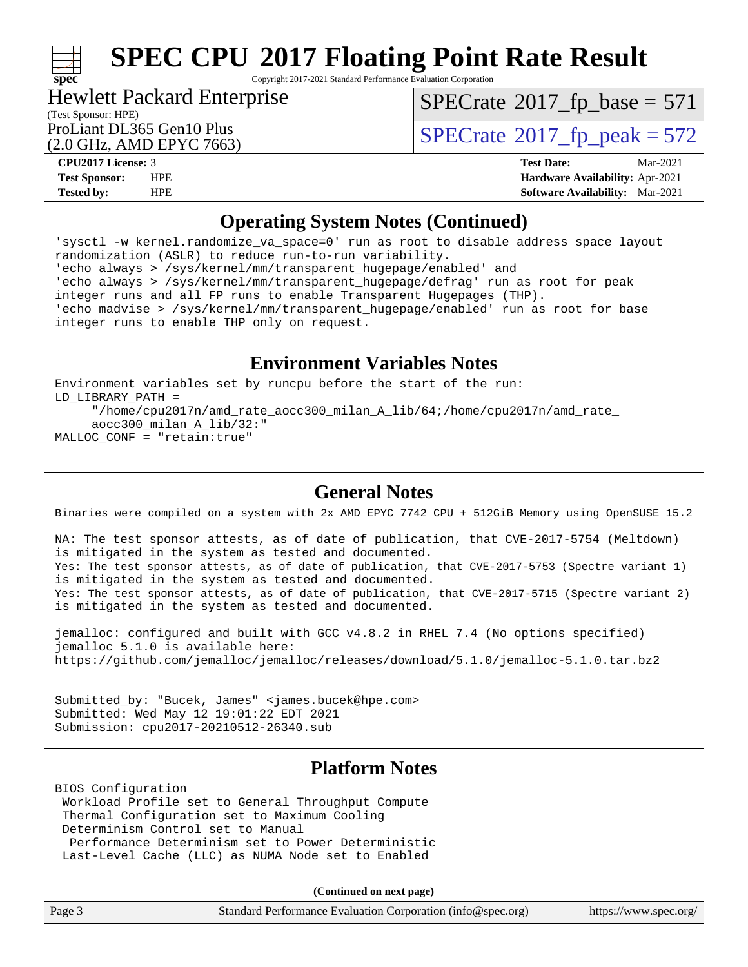

Copyright 2017-2021 Standard Performance Evaluation Corporation

### Hewlett Packard Enterprise

(Test Sponsor: HPE)

 $SPECTate$ <sup>®</sup>[2017\\_fp\\_base =](http://www.spec.org/auto/cpu2017/Docs/result-fields.html#SPECrate2017fpbase) 571

(2.0 GHz, AMD EPYC 7663)

ProLiant DL365 Gen10 Plus  $\text{SPECrate}^{\otimes}2017\_fp\_peak = 572$  $\text{SPECrate}^{\otimes}2017\_fp\_peak = 572$  $\text{SPECrate}^{\otimes}2017\_fp\_peak = 572$ 

**[CPU2017 License:](http://www.spec.org/auto/cpu2017/Docs/result-fields.html#CPU2017License)** 3 **[Test Date:](http://www.spec.org/auto/cpu2017/Docs/result-fields.html#TestDate)** Mar-2021 **[Test Sponsor:](http://www.spec.org/auto/cpu2017/Docs/result-fields.html#TestSponsor)** HPE **[Hardware Availability:](http://www.spec.org/auto/cpu2017/Docs/result-fields.html#HardwareAvailability)** Apr-2021 **[Tested by:](http://www.spec.org/auto/cpu2017/Docs/result-fields.html#Testedby)** HPE **[Software Availability:](http://www.spec.org/auto/cpu2017/Docs/result-fields.html#SoftwareAvailability)** Mar-2021

### **[Operating System Notes \(Continued\)](http://www.spec.org/auto/cpu2017/Docs/result-fields.html#OperatingSystemNotes)**

'sysctl -w kernel.randomize\_va\_space=0' run as root to disable address space layout randomization (ASLR) to reduce run-to-run variability. 'echo always > /sys/kernel/mm/transparent\_hugepage/enabled' and 'echo always > /sys/kernel/mm/transparent\_hugepage/defrag' run as root for peak integer runs and all FP runs to enable Transparent Hugepages (THP). 'echo madvise > /sys/kernel/mm/transparent\_hugepage/enabled' run as root for base integer runs to enable THP only on request.

### **[Environment Variables Notes](http://www.spec.org/auto/cpu2017/Docs/result-fields.html#EnvironmentVariablesNotes)**

Environment variables set by runcpu before the start of the run: LD\_LIBRARY\_PATH = "/home/cpu2017n/amd\_rate\_aocc300\_milan\_A\_lib/64;/home/cpu2017n/amd\_rate\_ aocc300\_milan\_A\_lib/32:" MALLOC\_CONF = "retain:true"

### **[General Notes](http://www.spec.org/auto/cpu2017/Docs/result-fields.html#GeneralNotes)**

Binaries were compiled on a system with 2x AMD EPYC 7742 CPU + 512GiB Memory using OpenSUSE 15.2

NA: The test sponsor attests, as of date of publication, that CVE-2017-5754 (Meltdown) is mitigated in the system as tested and documented. Yes: The test sponsor attests, as of date of publication, that CVE-2017-5753 (Spectre variant 1) is mitigated in the system as tested and documented. Yes: The test sponsor attests, as of date of publication, that CVE-2017-5715 (Spectre variant 2) is mitigated in the system as tested and documented.

jemalloc: configured and built with GCC v4.8.2 in RHEL 7.4 (No options specified) jemalloc 5.1.0 is available here: <https://github.com/jemalloc/jemalloc/releases/download/5.1.0/jemalloc-5.1.0.tar.bz2>

Submitted\_by: "Bucek, James" <james.bucek@hpe.com> Submitted: Wed May 12 19:01:22 EDT 2021 Submission: cpu2017-20210512-26340.sub

### **[Platform Notes](http://www.spec.org/auto/cpu2017/Docs/result-fields.html#PlatformNotes)**

BIOS Configuration Workload Profile set to General Throughput Compute Thermal Configuration set to Maximum Cooling Determinism Control set to Manual Performance Determinism set to Power Deterministic Last-Level Cache (LLC) as NUMA Node set to Enabled

**(Continued on next page)**

| Page 3<br>Standard Performance Evaluation Corporation (info@spec.org)<br>https://www.spec.org/ |  |
|------------------------------------------------------------------------------------------------|--|
|------------------------------------------------------------------------------------------------|--|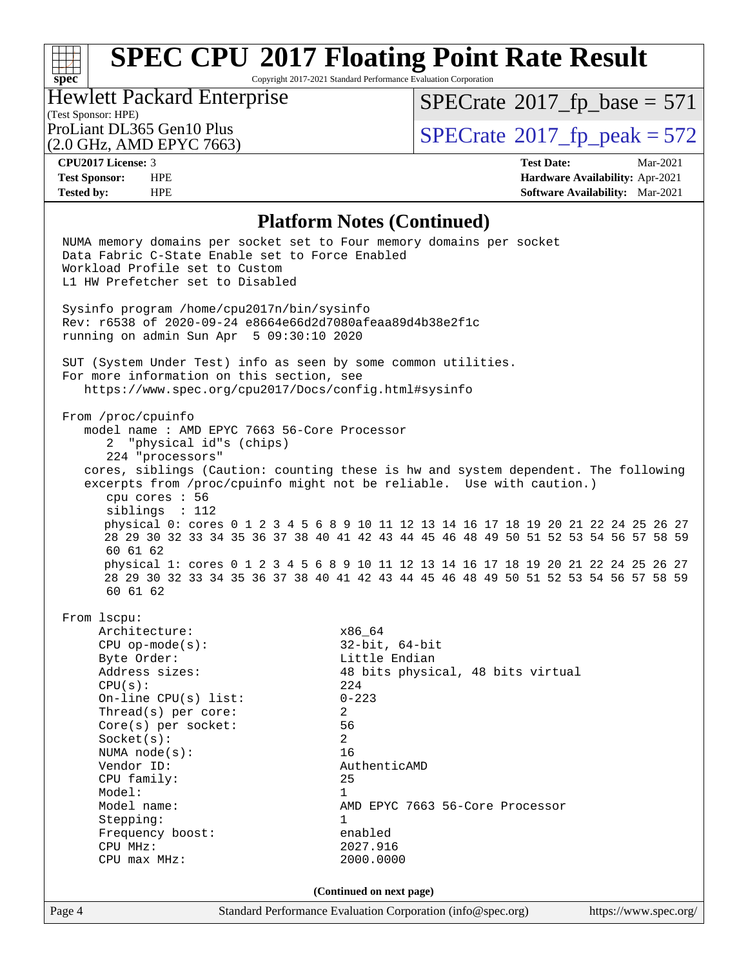## **[SPEC CPU](http://www.spec.org/auto/cpu2017/Docs/result-fields.html#SPECCPU2017FloatingPointRateResult)[2017 Floating Point Rate Result](http://www.spec.org/auto/cpu2017/Docs/result-fields.html#SPECCPU2017FloatingPointRateResult)**

Copyright 2017-2021 Standard Performance Evaluation Corporation

### (Test Sponsor: HPE)<br>ProLiant DL365 Gen10 Plus Hewlett Packard Enterprise

 $SPECTate$ <sup>®</sup>[2017\\_fp\\_base =](http://www.spec.org/auto/cpu2017/Docs/result-fields.html#SPECrate2017fpbase) 571

(2.0 GHz, AMD EPYC 7663)

 $SPECTate$ <sup>®</sup>[2017\\_fp\\_peak = 5](http://www.spec.org/auto/cpu2017/Docs/result-fields.html#SPECrate2017fppeak)72

**[CPU2017 License:](http://www.spec.org/auto/cpu2017/Docs/result-fields.html#CPU2017License)** 3 **[Test Date:](http://www.spec.org/auto/cpu2017/Docs/result-fields.html#TestDate)** Mar-2021 **[Test Sponsor:](http://www.spec.org/auto/cpu2017/Docs/result-fields.html#TestSponsor)** HPE **[Hardware Availability:](http://www.spec.org/auto/cpu2017/Docs/result-fields.html#HardwareAvailability)** Apr-2021 **[Tested by:](http://www.spec.org/auto/cpu2017/Docs/result-fields.html#Testedby)** HPE **[Software Availability:](http://www.spec.org/auto/cpu2017/Docs/result-fields.html#SoftwareAvailability)** Mar-2021

### **[Platform Notes \(Continued\)](http://www.spec.org/auto/cpu2017/Docs/result-fields.html#PlatformNotes)**

| Page 4 | Standard Performance Evaluation Corporation (info@spec.org)<br>https://www.spec.org/               |  |
|--------|----------------------------------------------------------------------------------------------------|--|
|        | (Continued on next page)                                                                           |  |
|        |                                                                                                    |  |
|        | CPU max MHz:<br>2000.0000                                                                          |  |
|        | 2027.916<br>CPU MHz:                                                                               |  |
|        | Frequency boost:<br>enabled                                                                        |  |
|        | Stepping:<br>1                                                                                     |  |
|        | Model name:<br>AMD EPYC 7663 56-Core Processor                                                     |  |
|        | CPU family:<br>25<br>Model:<br>1                                                                   |  |
|        | Vendor ID:<br>AuthenticAMD                                                                         |  |
|        | 16<br>NUMA $node(s):$                                                                              |  |
|        | $\overline{2}$<br>Socket(s):                                                                       |  |
|        | 56<br>$Core(s)$ per socket:                                                                        |  |
|        | Thread( $s$ ) per core:<br>2                                                                       |  |
|        | On-line CPU $(s)$ list:<br>$0 - 223$                                                               |  |
|        | 224<br>CPU(s):                                                                                     |  |
|        | 48 bits physical, 48 bits virtual<br>Address sizes:                                                |  |
|        | Byte Order:<br>Little Endian                                                                       |  |
|        | $32$ -bit, $64$ -bit<br>$CPU$ op-mode( $s$ ):                                                      |  |
|        | Architecture:<br>x86_64                                                                            |  |
|        | From 1scpu:                                                                                        |  |
|        | 60 61 62                                                                                           |  |
|        | 28 29 30 32 33 34 35 36 37 38 40 41 42 43 44 45 46 48 49 50 51 52 53 54 56 57 58 59                |  |
|        | physical 1: cores 0 1 2 3 4 5 6 8 9 10 11 12 13 14 16 17 18 19 20 21 22 24 25 26 27                |  |
|        | 60 61 62                                                                                           |  |
|        | 28 29 30 32 33 34 35 36 37 38 40 41 42 43 44 45 46 48 49 50 51 52 53 54 56 57 58 59                |  |
|        | physical 0: cores 0 1 2 3 4 5 6 8 9 10 11 12 13 14 16 17 18 19 20 21 22 24 25 26 27                |  |
|        | cpu cores : 56<br>siblings : 112                                                                   |  |
|        | excerpts from /proc/cpuinfo might not be reliable. Use with caution.)                              |  |
|        | cores, siblings (Caution: counting these is hw and system dependent. The following                 |  |
|        | 224 "processors"                                                                                   |  |
|        | 2 "physical id"s (chips)                                                                           |  |
|        | model name: AMD EPYC 7663 56-Core Processor                                                        |  |
|        | From /proc/cpuinfo                                                                                 |  |
|        |                                                                                                    |  |
|        | For more information on this section, see<br>https://www.spec.org/cpu2017/Docs/config.html#sysinfo |  |
|        | SUT (System Under Test) info as seen by some common utilities.                                     |  |
|        |                                                                                                    |  |
|        | running on admin Sun Apr 5 09:30:10 2020                                                           |  |
|        | Rev: r6538 of 2020-09-24 e8664e66d2d7080afeaa89d4b38e2f1c                                          |  |
|        | Sysinfo program /home/cpu2017n/bin/sysinfo                                                         |  |
|        |                                                                                                    |  |
|        | Workload Profile set to Custom<br>L1 HW Prefetcher set to Disabled                                 |  |
|        | Data Fabric C-State Enable set to Force Enabled                                                    |  |
|        | NUMA memory domains per socket set to Four memory domains per socket                               |  |
|        |                                                                                                    |  |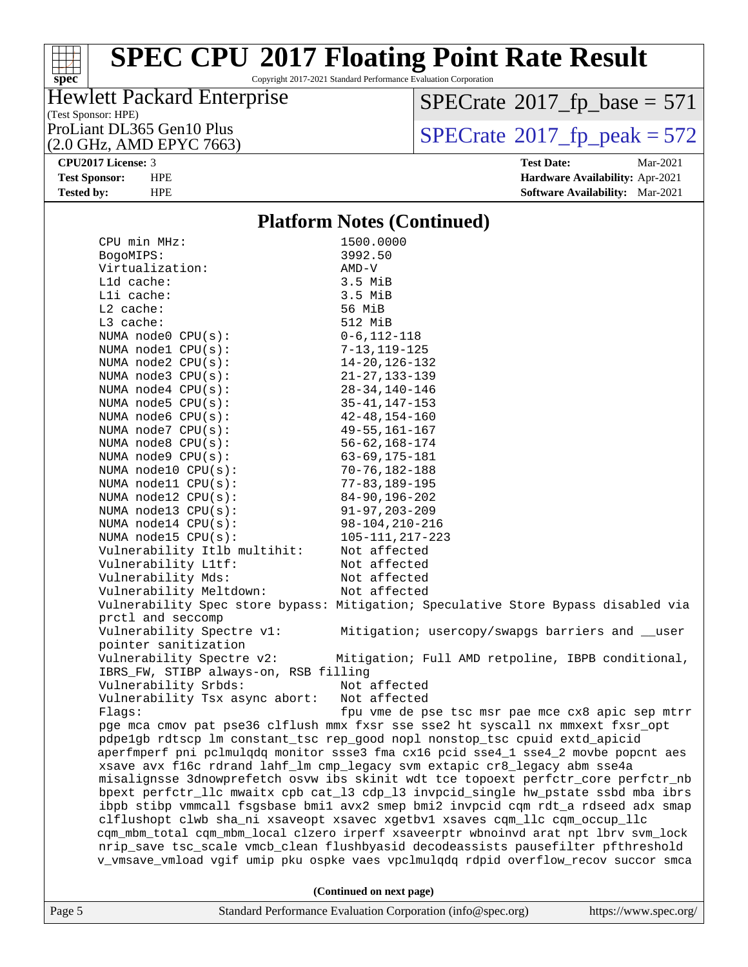## **[SPEC CPU](http://www.spec.org/auto/cpu2017/Docs/result-fields.html#SPECCPU2017FloatingPointRateResult)[2017 Floating Point Rate Result](http://www.spec.org/auto/cpu2017/Docs/result-fields.html#SPECCPU2017FloatingPointRateResult)**

Copyright 2017-2021 Standard Performance Evaluation Corporation

## Hewlett Packard Enterprise

(Test Sponsor: HPE)<br>ProLiant DL365 Gen10 Plus (2.0 GHz, AMD EPYC 7663)  $SPECTate@2017_fp\_base = 571$ 

 $SPECTate$ <sup>®</sup>[2017\\_fp\\_peak = 5](http://www.spec.org/auto/cpu2017/Docs/result-fields.html#SPECrate2017fppeak)72 **[CPU2017 License:](http://www.spec.org/auto/cpu2017/Docs/result-fields.html#CPU2017License)** 3 **[Test Date:](http://www.spec.org/auto/cpu2017/Docs/result-fields.html#TestDate)** Mar-2021

**[Test Sponsor:](http://www.spec.org/auto/cpu2017/Docs/result-fields.html#TestSponsor)** HPE **[Hardware Availability:](http://www.spec.org/auto/cpu2017/Docs/result-fields.html#HardwareAvailability)** Apr-2021 **[Tested by:](http://www.spec.org/auto/cpu2017/Docs/result-fields.html#Testedby)** HPE **[Software Availability:](http://www.spec.org/auto/cpu2017/Docs/result-fields.html#SoftwareAvailability)** Mar-2021

### **[Platform Notes \(Continued\)](http://www.spec.org/auto/cpu2017/Docs/result-fields.html#PlatformNotes)**

| Lli cache:<br>$L2$ cache:                                     | $3.5$ MiB<br>56 MiB                                                                  |
|---------------------------------------------------------------|--------------------------------------------------------------------------------------|
| L3 cache:                                                     | 512 MiB                                                                              |
| NUMA node0 CPU(s):                                            | $0 - 6$ , 112-118                                                                    |
| NUMA nodel CPU(s):                                            | $7 - 13, 119 - 125$                                                                  |
| NUMA node2 CPU(s):                                            | $14 - 20, 126 - 132$                                                                 |
| NUMA node3 CPU(s):                                            | $21 - 27, 133 - 139$                                                                 |
| NUMA $node4$ $CPU(s)$ :                                       | $28 - 34, 140 - 146$                                                                 |
| NUMA $node5$ $CPU(s):$                                        | $35 - 41, 147 - 153$                                                                 |
| NUMA node6 CPU(s):                                            | $42 - 48, 154 - 160$                                                                 |
| NUMA node7 CPU(s):                                            | $49 - 55, 161 - 167$                                                                 |
| NUMA node8 CPU(s):                                            | $56 - 62, 168 - 174$                                                                 |
| NUMA node9 CPU(s):                                            | $63 - 69, 175 - 181$                                                                 |
| NUMA node10 CPU(s):                                           | $70 - 76, 182 - 188$                                                                 |
| NUMA $model1$ CPU( $s$ ):<br>NUMA node12 CPU(s):              | $77 - 83,189 - 195$                                                                  |
| NUMA $node13$ CPU $(s):$                                      | $84 - 90, 196 - 202$<br>$91 - 97, 203 - 209$                                         |
| NUMA $node14$ CPU $(s)$ :                                     | $98 - 104, 210 - 216$                                                                |
| NUMA node15 CPU(s):                                           | $105 - 111, 217 - 223$                                                               |
| Vulnerability Itlb multihit:                                  | Not affected                                                                         |
| Vulnerability L1tf:                                           | Not affected                                                                         |
| Vulnerability Mds:                                            | Not affected                                                                         |
| Vulnerability Meltdown:                                       | Not affected                                                                         |
|                                                               | Vulnerability Spec store bypass: Mitigation; Speculative Store Bypass disabled via   |
| prctl and seccomp                                             |                                                                                      |
| Vulnerability Spectre v1:                                     | Mitigation; usercopy/swapgs barriers and __user                                      |
| pointer sanitization                                          |                                                                                      |
| Vulnerability Spectre v2:                                     | Mitigation; Full AMD retpoline, IBPB conditional,                                    |
| IBRS_FW, STIBP always-on, RSB filling<br>Vulnerability Srbds: | Not affected                                                                         |
| Vulnerability Tsx async abort:                                | Not affected                                                                         |
| Flags:                                                        | fpu vme de pse tsc msr pae mce cx8 apic sep mtrr                                     |
|                                                               | pge mca cmov pat pse36 clflush mmx fxsr sse sse2 ht syscall nx mmxext fxsr_opt       |
|                                                               | pdpelgb rdtscp lm constant_tsc rep_good nopl nonstop_tsc cpuid extd_apicid           |
|                                                               | aperfmperf pni pclmulgdg monitor ssse3 fma cx16 pcid sse4_1 sse4_2 movbe popcnt aes  |
|                                                               | xsave avx f16c rdrand lahf_lm cmp_legacy svm extapic cr8_legacy abm sse4a            |
|                                                               | misalignsse 3dnowprefetch osvw ibs skinit wdt tce topoext perfctr_core perfctr_nb    |
|                                                               | bpext perfctr_llc mwaitx cpb cat_13 cdp_13 invpcid_single hw_pstate ssbd mba ibrs    |
|                                                               | ibpb stibp vmmcall fsgsbase bmil avx2 smep bmi2 invpcid cqm rdt_a rdseed adx smap    |
|                                                               | clflushopt clwb sha_ni xsaveopt xsavec xgetbvl xsaves cqm_llc cqm_occup_llc          |
|                                                               | cqm_mbm_total cqm_mbm_local clzero irperf xsaveerptr wbnoinvd arat npt lbrv svm_lock |
|                                                               | nrip_save tsc_scale vmcb_clean flushbyasid decodeassists pausefilter pfthreshold     |
|                                                               | v_vmsave_vmload vgif umip pku ospke vaes vpclmulqdq rdpid overflow_recov succor smca |
|                                                               |                                                                                      |
|                                                               | (Continued on next page)                                                             |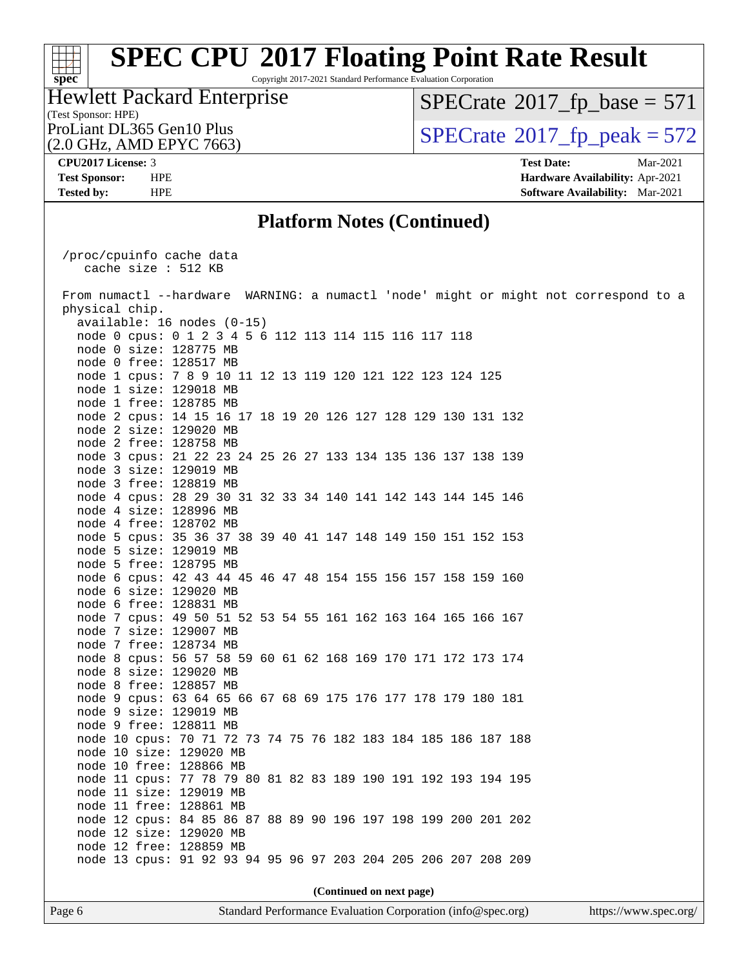## **[SPEC CPU](http://www.spec.org/auto/cpu2017/Docs/result-fields.html#SPECCPU2017FloatingPointRateResult)[2017 Floating Point Rate Result](http://www.spec.org/auto/cpu2017/Docs/result-fields.html#SPECCPU2017FloatingPointRateResult)**

Copyright 2017-2021 Standard Performance Evaluation Corporation

### (Test Sponsor: HPE) Hewlett Packard Enterprise

 $SPECTate$ <sup>®</sup>[2017\\_fp\\_base =](http://www.spec.org/auto/cpu2017/Docs/result-fields.html#SPECrate2017fpbase) 571

(2.0 GHz, AMD EPYC 7663)

ProLiant DL365 Gen10 Plus  $\text{SPECrate}$  $\text{SPECrate}$  $\text{SPECrate}$ <sup>®</sup>[2017\\_fp\\_peak = 5](http://www.spec.org/auto/cpu2017/Docs/result-fields.html#SPECrate2017fppeak)72

**[CPU2017 License:](http://www.spec.org/auto/cpu2017/Docs/result-fields.html#CPU2017License)** 3 **[Test Date:](http://www.spec.org/auto/cpu2017/Docs/result-fields.html#TestDate)** Mar-2021 **[Test Sponsor:](http://www.spec.org/auto/cpu2017/Docs/result-fields.html#TestSponsor)** HPE **[Hardware Availability:](http://www.spec.org/auto/cpu2017/Docs/result-fields.html#HardwareAvailability)** Apr-2021 **[Tested by:](http://www.spec.org/auto/cpu2017/Docs/result-fields.html#Testedby)** HPE **[Software Availability:](http://www.spec.org/auto/cpu2017/Docs/result-fields.html#SoftwareAvailability)** Mar-2021

### **[Platform Notes \(Continued\)](http://www.spec.org/auto/cpu2017/Docs/result-fields.html#PlatformNotes)**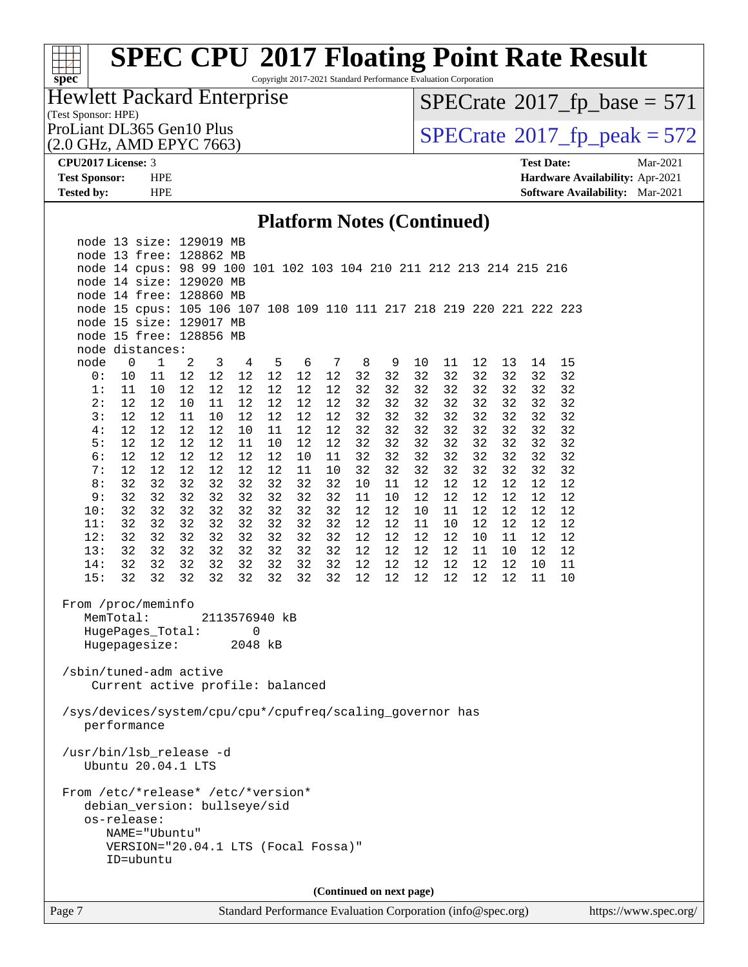## **[spec](http://www.spec.org/)**<sup>®</sup>

## **[SPEC CPU](http://www.spec.org/auto/cpu2017/Docs/result-fields.html#SPECCPU2017FloatingPointRateResult)[2017 Floating Point Rate Result](http://www.spec.org/auto/cpu2017/Docs/result-fields.html#SPECCPU2017FloatingPointRateResult)**

Copyright 2017-2021 Standard Performance Evaluation Corporation

### (Test Sponsor: HPE) Hewlett Packard Enterprise

 $SPECTate$ <sup>®</sup>[2017\\_fp\\_base =](http://www.spec.org/auto/cpu2017/Docs/result-fields.html#SPECrate2017fpbase) 571

(2.0 GHz, AMD EPYC 7663)

ProLiant DL365 Gen10 Plus  $\text{SPECrate}^{\otimes}2017\_fp\_peak = 572$  $\text{SPECrate}^{\otimes}2017\_fp\_peak = 572$  $\text{SPECrate}^{\otimes}2017\_fp\_peak = 572$ 

**[CPU2017 License:](http://www.spec.org/auto/cpu2017/Docs/result-fields.html#CPU2017License)** 3 **[Test Date:](http://www.spec.org/auto/cpu2017/Docs/result-fields.html#TestDate)** Mar-2021 **[Test Sponsor:](http://www.spec.org/auto/cpu2017/Docs/result-fields.html#TestSponsor)** HPE **[Hardware Availability:](http://www.spec.org/auto/cpu2017/Docs/result-fields.html#HardwareAvailability)** Apr-2021 **[Tested by:](http://www.spec.org/auto/cpu2017/Docs/result-fields.html#Testedby)** HPE **[Software Availability:](http://www.spec.org/auto/cpu2017/Docs/result-fields.html#SoftwareAvailability)** Mar-2021

### **[Platform Notes \(Continued\)](http://www.spec.org/auto/cpu2017/Docs/result-fields.html#PlatformNotes)**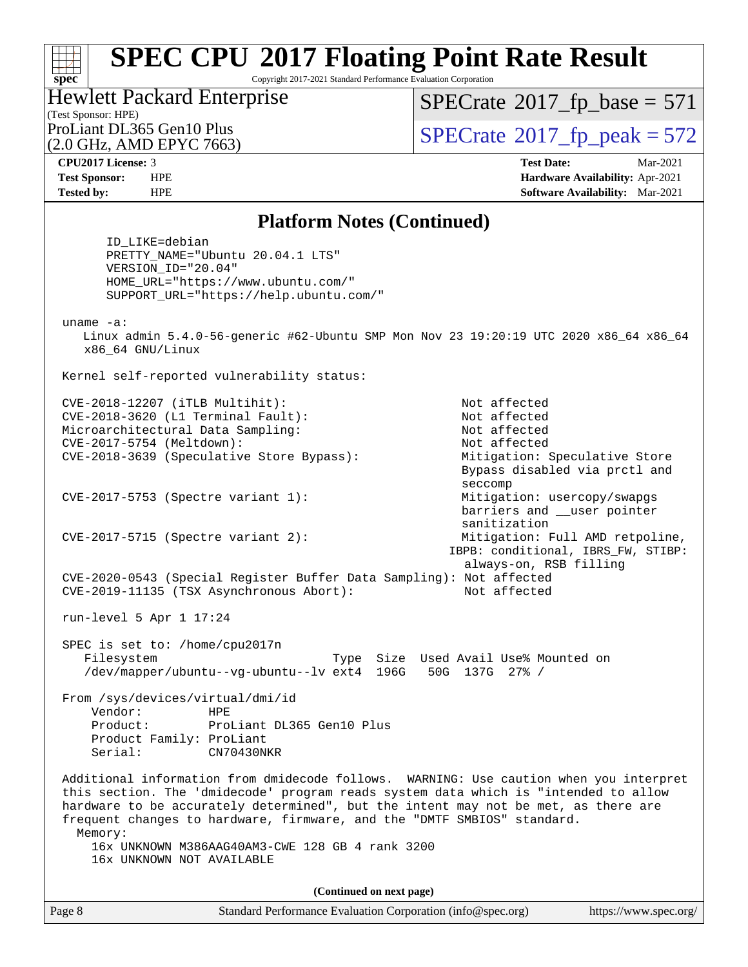Copyright 2017-2021 Standard Performance Evaluation Corporation

## Hewlett Packard Enterprise

 $SPECTate$ <sup>®</sup>[2017\\_fp\\_base =](http://www.spec.org/auto/cpu2017/Docs/result-fields.html#SPECrate2017fpbase) 571

(Test Sponsor: HPE) (2.0 GHz, AMD EPYC 7663)

ProLiant DL365 Gen10 Plus  $\text{SPECrate}^{\otimes}2017\_fp\_peak = 572$  $\text{SPECrate}^{\otimes}2017\_fp\_peak = 572$  $\text{SPECrate}^{\otimes}2017\_fp\_peak = 572$ 

**[spec](http://www.spec.org/)**

**[CPU2017 License:](http://www.spec.org/auto/cpu2017/Docs/result-fields.html#CPU2017License)** 3 **[Test Date:](http://www.spec.org/auto/cpu2017/Docs/result-fields.html#TestDate)** Mar-2021 **[Test Sponsor:](http://www.spec.org/auto/cpu2017/Docs/result-fields.html#TestSponsor)** HPE **[Hardware Availability:](http://www.spec.org/auto/cpu2017/Docs/result-fields.html#HardwareAvailability)** Apr-2021 **[Tested by:](http://www.spec.org/auto/cpu2017/Docs/result-fields.html#Testedby)** HPE **[Software Availability:](http://www.spec.org/auto/cpu2017/Docs/result-fields.html#SoftwareAvailability)** Mar-2021

### **[Platform Notes \(Continued\)](http://www.spec.org/auto/cpu2017/Docs/result-fields.html#PlatformNotes)**

 ID\_LIKE=debian PRETTY\_NAME="Ubuntu 20.04.1 LTS" VERSION\_ID="20.04" HOME\_URL="[https://www.ubuntu.com/"](https://www.ubuntu.com/) SUPPORT\_URL="[https://help.ubuntu.com/"](https://help.ubuntu.com/) uname -a: Linux admin 5.4.0-56-generic #62-Ubuntu SMP Mon Nov 23 19:20:19 UTC 2020 x86\_64 x86\_64 x86\_64 GNU/Linux Kernel self-reported vulnerability status: CVE-2018-12207 (iTLB Multihit): Not affected CVE-2018-3620 (L1 Terminal Fault): Not affected Microarchitectural Data Sampling: Not affected CVE-2017-5754 (Meltdown): Not affected CVE-2018-3639 (Speculative Store Bypass): Mitigation: Speculative Store Bypass disabled via prctl and seccomp CVE-2017-5753 (Spectre variant 1): Mitigation: usercopy/swapgs barriers and \_\_user pointer sanitization CVE-2017-5715 (Spectre variant 2): Mitigation: Full AMD retpoline, IBPB: conditional, IBRS\_FW, STIBP: always-on, RSB filling CVE-2020-0543 (Special Register Buffer Data Sampling): Not affected CVE-2019-11135 (TSX Asynchronous Abort): Not affected run-level 5 Apr 1 17:24 SPEC is set to: /home/cpu2017n Filesystem Type Size Used Avail Use% Mounted on /dev/mapper/ubuntu--vg-ubuntu--lv ext4 196G 50G 137G 27% / From /sys/devices/virtual/dmi/id Vendor: HPE Product: ProLiant DL365 Gen10 Plus Product Family: ProLiant Serial: CN70430NKR Additional information from dmidecode follows. WARNING: Use caution when you interpret this section. The 'dmidecode' program reads system data which is "intended to allow hardware to be accurately determined", but the intent may not be met, as there are frequent changes to hardware, firmware, and the "DMTF SMBIOS" standard. Memory: 16x UNKNOWN M386AAG40AM3-CWE 128 GB 4 rank 3200 16x UNKNOWN NOT AVAILABLE **(Continued on next page)**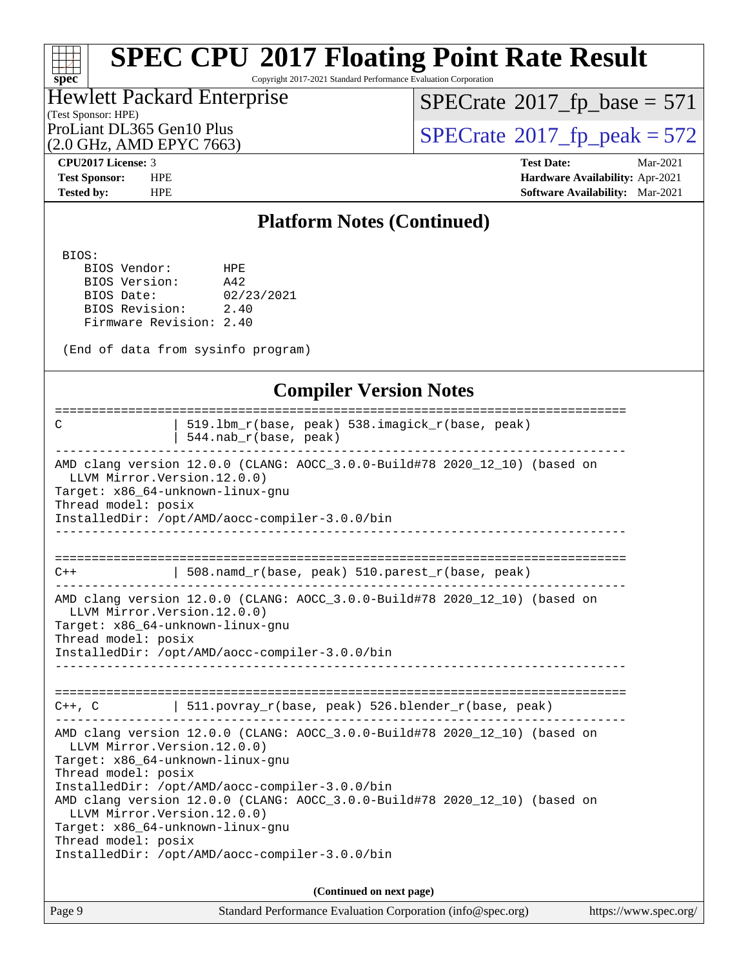### H F **[spec](http://www.spec.org/)**

## **[SPEC CPU](http://www.spec.org/auto/cpu2017/Docs/result-fields.html#SPECCPU2017FloatingPointRateResult)[2017 Floating Point Rate Result](http://www.spec.org/auto/cpu2017/Docs/result-fields.html#SPECCPU2017FloatingPointRateResult)**

Copyright 2017-2021 Standard Performance Evaluation Corporation

### (Test Sponsor: HPE) Hewlett Packard Enterprise

 $SPECTate@2017_fp\_base = 571$ 

(2.0 GHz, AMD EPYC 7663)

ProLiant DL365 Gen10 Plus<br>(2.0 GHz, AMD EPYC 7663) [SPECrate](http://www.spec.org/auto/cpu2017/Docs/result-fields.html#SPECrate2017fppeak)®[2017\\_fp\\_peak = 5](http://www.spec.org/auto/cpu2017/Docs/result-fields.html#SPECrate2017fppeak)72

**[CPU2017 License:](http://www.spec.org/auto/cpu2017/Docs/result-fields.html#CPU2017License)** 3 **[Test Date:](http://www.spec.org/auto/cpu2017/Docs/result-fields.html#TestDate)** Mar-2021 **[Test Sponsor:](http://www.spec.org/auto/cpu2017/Docs/result-fields.html#TestSponsor)** HPE **[Hardware Availability:](http://www.spec.org/auto/cpu2017/Docs/result-fields.html#HardwareAvailability)** Apr-2021 **[Tested by:](http://www.spec.org/auto/cpu2017/Docs/result-fields.html#Testedby)** HPE **[Software Availability:](http://www.spec.org/auto/cpu2017/Docs/result-fields.html#SoftwareAvailability)** Mar-2021

### **[Platform Notes \(Continued\)](http://www.spec.org/auto/cpu2017/Docs/result-fields.html#PlatformNotes)**

BIOS:

 BIOS Vendor: HPE BIOS Version: A42 BIOS Date: 02/23/2021 BIOS Revision: 2.40 Firmware Revision: 2.40

(End of data from sysinfo program)

### **[Compiler Version Notes](http://www.spec.org/auto/cpu2017/Docs/result-fields.html#CompilerVersionNotes)**

| 519.1bm_r(base, peak) 538.imagick_r(base, peak)<br>C<br>$544.nab_r(base, peak)$                                                                                                                                                                                                                                                                                                                                                                      |
|------------------------------------------------------------------------------------------------------------------------------------------------------------------------------------------------------------------------------------------------------------------------------------------------------------------------------------------------------------------------------------------------------------------------------------------------------|
| AMD clang version 12.0.0 (CLANG: AOCC_3.0.0-Build#78 2020_12_10) (based on<br>LLVM Mirror. Version. 12.0.0)<br>Target: x86_64-unknown-linux-gnu<br>Thread model: posix<br>InstalledDir: /opt/AMD/aocc-compiler-3.0.0/bin                                                                                                                                                                                                                             |
| $508.namd_r(base, peak) 510.parest_r(base, peak)$<br>$C++$                                                                                                                                                                                                                                                                                                                                                                                           |
| AMD clang version 12.0.0 (CLANG: AOCC_3.0.0-Build#78 2020_12_10) (based on<br>LLVM Mirror. Version. 12.0.0)<br>Target: x86_64-unknown-linux-gnu<br>Thread model: posix<br>InstalledDir: /opt/AMD/aocc-compiler-3.0.0/bin                                                                                                                                                                                                                             |
| $C++$ , C $\qquad$ 511.povray_r(base, peak) 526.blender_r(base, peak)                                                                                                                                                                                                                                                                                                                                                                                |
| AMD clang version 12.0.0 (CLANG: AOCC 3.0.0-Build#78 2020 12 10) (based on<br>LLVM Mirror. Version. 12.0.0)<br>Target: x86 64-unknown-linux-gnu<br>Thread model: posix<br>InstalledDir: /opt/AMD/aocc-compiler-3.0.0/bin<br>AMD clang version 12.0.0 (CLANG: AOCC_3.0.0-Build#78 2020_12_10) (based on<br>LLVM Mirror. Version. 12.0.0)<br>Target: x86 64-unknown-linux-gnu<br>Thread model: posix<br>InstalledDir: /opt/AMD/aocc-compiler-3.0.0/bin |
| (Continued on next page)                                                                                                                                                                                                                                                                                                                                                                                                                             |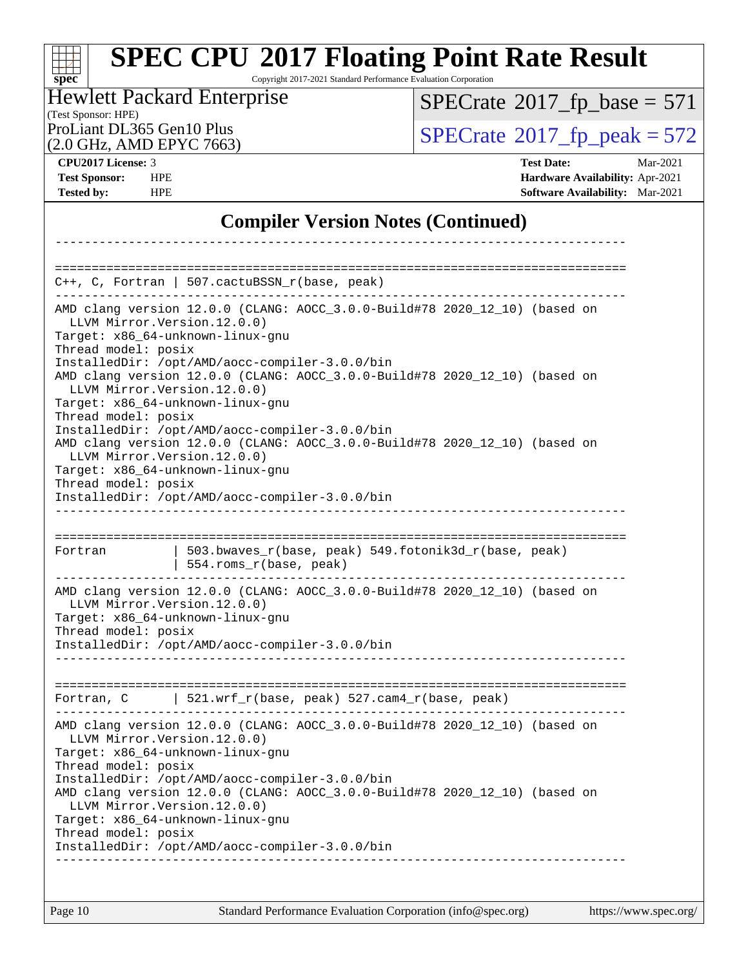## **[SPEC CPU](http://www.spec.org/auto/cpu2017/Docs/result-fields.html#SPECCPU2017FloatingPointRateResult)[2017 Floating Point Rate Result](http://www.spec.org/auto/cpu2017/Docs/result-fields.html#SPECCPU2017FloatingPointRateResult)**

Copyright 2017-2021 Standard Performance Evaluation Corporation

### (Test Sponsor: HPE)<br>ProLiant DL365 Gen10 Plus Hewlett Packard Enterprise

 $SPECTate@2017_fp\_base = 571$ 

(2.0 GHz, AMD EPYC 7663)

 $SPECTate$ <sup>®</sup>[2017\\_fp\\_peak = 5](http://www.spec.org/auto/cpu2017/Docs/result-fields.html#SPECrate2017fppeak)72

**[CPU2017 License:](http://www.spec.org/auto/cpu2017/Docs/result-fields.html#CPU2017License)** 3 **[Test Date:](http://www.spec.org/auto/cpu2017/Docs/result-fields.html#TestDate)** Mar-2021 **[Test Sponsor:](http://www.spec.org/auto/cpu2017/Docs/result-fields.html#TestSponsor)** HPE **[Hardware Availability:](http://www.spec.org/auto/cpu2017/Docs/result-fields.html#HardwareAvailability)** Apr-2021 **[Tested by:](http://www.spec.org/auto/cpu2017/Docs/result-fields.html#Testedby)** HPE **[Software Availability:](http://www.spec.org/auto/cpu2017/Docs/result-fields.html#SoftwareAvailability)** Mar-2021

### **[Compiler Version Notes \(Continued\)](http://www.spec.org/auto/cpu2017/Docs/result-fields.html#CompilerVersionNotes)**

|                                                      | C++, C, Fortran   507.cactuBSSN_r(base, peak)                                                                                                                                                                      |
|------------------------------------------------------|--------------------------------------------------------------------------------------------------------------------------------------------------------------------------------------------------------------------|
| LLVM Mirror. Version. 12.0.0)<br>Thread model: posix | AMD clang version 12.0.0 (CLANG: AOCC_3.0.0-Build#78 2020_12_10) (based on<br>Target: x86_64-unknown-linux-gnu                                                                                                     |
| LLVM Mirror. Version. 12.0.0)<br>Thread model: posix | InstalledDir: /opt/AMD/aocc-compiler-3.0.0/bin<br>AMD clang version 12.0.0 (CLANG: AOCC_3.0.0-Build#78 2020_12_10) (based on<br>Target: x86_64-unknown-linux-gnu<br>InstalledDir: /opt/AMD/aocc-compiler-3.0.0/bin |
| LLVM Mirror. Version. 12.0.0)<br>Thread model: posix | AMD clang version 12.0.0 (CLANG: AOCC_3.0.0-Build#78 2020_12_10) (based on<br>Target: x86_64-unknown-linux-gnu<br>InstalledDir: /opt/AMD/aocc-compiler-3.0.0/bin                                                   |
|                                                      | _________________________<br>---------------------------------                                                                                                                                                     |
|                                                      |                                                                                                                                                                                                                    |
| Fortran                                              | 503.bwaves_r(base, peak) 549.fotonik3d_r(base, peak)                                                                                                                                                               |
|                                                      | 554.roms_r(base, peak)                                                                                                                                                                                             |
| LLVM Mirror. Version. 12.0.0)<br>Thread model: posix | AMD clang version 12.0.0 (CLANG: AOCC_3.0.0-Build#78 2020_12_10) (based on<br>Target: x86_64-unknown-linux-gnu<br>InstalledDir: /opt/AMD/aocc-compiler-3.0.0/bin<br>__________________________                     |
|                                                      |                                                                                                                                                                                                                    |
|                                                      | Fortran, C   521.wrf_r(base, peak) 527.cam4_r(base, peak)                                                                                                                                                          |
| LLVM Mirror.Version.12.0.0)<br>Thread model: posix   | AMD clang version 12.0.0 (CLANG: AOCC_3.0.0-Build#78 2020_12_10) (based on<br>Target: x86_64-unknown-linux-gnu                                                                                                     |
|                                                      | InstalledDir: /opt/AMD/aocc-compiler-3.0.0/bin<br>AMD clang version 12.0.0 (CLANG: AOCC_3.0.0-Build#78 2020_12_10) (based on<br>LLVM Mirror. Version. 12.0.0)                                                      |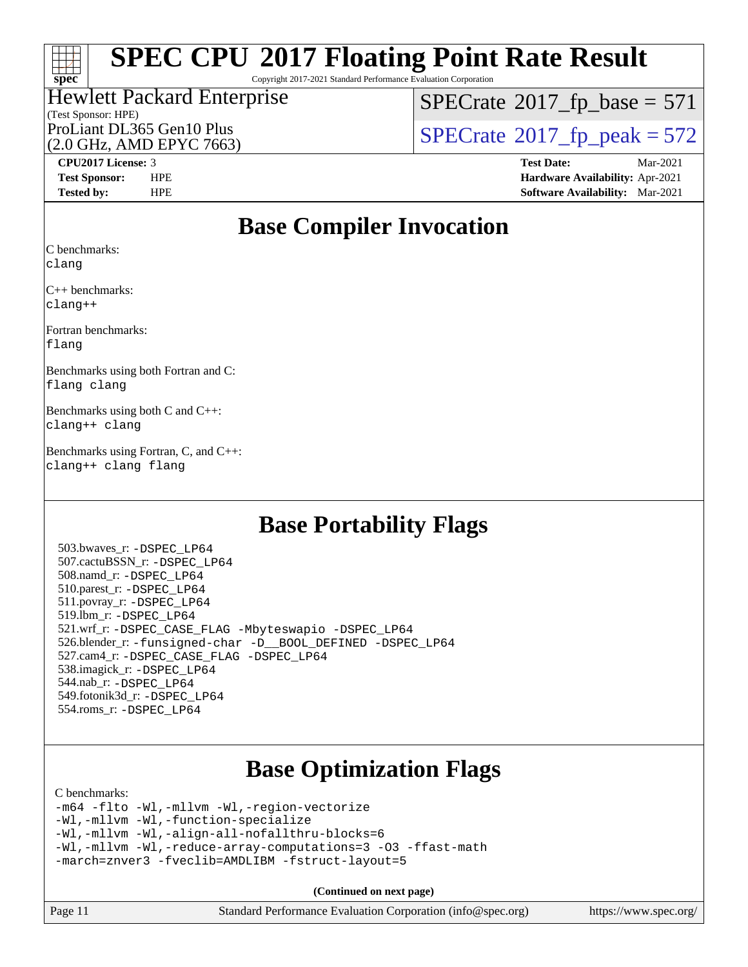

Copyright 2017-2021 Standard Performance Evaluation Corporation

### (Test Sponsor: HPE) Hewlett Packard Enterprise (2.0 GHz, AMD EPYC 7663)

 $SPECTate@2017_fp\_base = 571$ 

ProLiant DL365 Gen10 Plus  $\begin{array}{c} | \text{SPECrate} \textcirc 2017\_fp\_peak = 572 \end{array}$  $\begin{array}{c} | \text{SPECrate} \textcirc 2017\_fp\_peak = 572 \end{array}$  $\begin{array}{c} | \text{SPECrate} \textcirc 2017\_fp\_peak = 572 \end{array}$ 

**[CPU2017 License:](http://www.spec.org/auto/cpu2017/Docs/result-fields.html#CPU2017License)** 3 **[Test Date:](http://www.spec.org/auto/cpu2017/Docs/result-fields.html#TestDate)** Mar-2021 **[Test Sponsor:](http://www.spec.org/auto/cpu2017/Docs/result-fields.html#TestSponsor)** HPE **[Hardware Availability:](http://www.spec.org/auto/cpu2017/Docs/result-fields.html#HardwareAvailability)** Apr-2021 **[Tested by:](http://www.spec.org/auto/cpu2017/Docs/result-fields.html#Testedby)** HPE **[Software Availability:](http://www.spec.org/auto/cpu2017/Docs/result-fields.html#SoftwareAvailability)** Mar-2021

### **[Base Compiler Invocation](http://www.spec.org/auto/cpu2017/Docs/result-fields.html#BaseCompilerInvocation)**

[C benchmarks](http://www.spec.org/auto/cpu2017/Docs/result-fields.html#Cbenchmarks):

[clang](http://www.spec.org/cpu2017/results/res2021q2/cpu2017-20210512-26340.flags.html#user_CCbase_clang-c)

[C++ benchmarks](http://www.spec.org/auto/cpu2017/Docs/result-fields.html#CXXbenchmarks): [clang++](http://www.spec.org/cpu2017/results/res2021q2/cpu2017-20210512-26340.flags.html#user_CXXbase_clang-cpp)

[Fortran benchmarks:](http://www.spec.org/auto/cpu2017/Docs/result-fields.html#Fortranbenchmarks) [flang](http://www.spec.org/cpu2017/results/res2021q2/cpu2017-20210512-26340.flags.html#user_FCbase_flang)

[Benchmarks using both Fortran and C](http://www.spec.org/auto/cpu2017/Docs/result-fields.html#BenchmarksusingbothFortranandC): [flang](http://www.spec.org/cpu2017/results/res2021q2/cpu2017-20210512-26340.flags.html#user_CC_FCbase_flang) [clang](http://www.spec.org/cpu2017/results/res2021q2/cpu2017-20210512-26340.flags.html#user_CC_FCbase_clang-c)

[Benchmarks using both C and C++:](http://www.spec.org/auto/cpu2017/Docs/result-fields.html#BenchmarksusingbothCandCXX) [clang++](http://www.spec.org/cpu2017/results/res2021q2/cpu2017-20210512-26340.flags.html#user_CC_CXXbase_clang-cpp) [clang](http://www.spec.org/cpu2017/results/res2021q2/cpu2017-20210512-26340.flags.html#user_CC_CXXbase_clang-c)

[Benchmarks using Fortran, C, and C++](http://www.spec.org/auto/cpu2017/Docs/result-fields.html#BenchmarksusingFortranCandCXX): [clang++](http://www.spec.org/cpu2017/results/res2021q2/cpu2017-20210512-26340.flags.html#user_CC_CXX_FCbase_clang-cpp) [clang](http://www.spec.org/cpu2017/results/res2021q2/cpu2017-20210512-26340.flags.html#user_CC_CXX_FCbase_clang-c) [flang](http://www.spec.org/cpu2017/results/res2021q2/cpu2017-20210512-26340.flags.html#user_CC_CXX_FCbase_flang)

### **[Base Portability Flags](http://www.spec.org/auto/cpu2017/Docs/result-fields.html#BasePortabilityFlags)**

 503.bwaves\_r: [-DSPEC\\_LP64](http://www.spec.org/cpu2017/results/res2021q2/cpu2017-20210512-26340.flags.html#suite_baseEXTRA_PORTABILITY503_bwaves_r_DSPEC_LP64) 507.cactuBSSN\_r: [-DSPEC\\_LP64](http://www.spec.org/cpu2017/results/res2021q2/cpu2017-20210512-26340.flags.html#suite_baseEXTRA_PORTABILITY507_cactuBSSN_r_DSPEC_LP64) 508.namd\_r: [-DSPEC\\_LP64](http://www.spec.org/cpu2017/results/res2021q2/cpu2017-20210512-26340.flags.html#suite_baseEXTRA_PORTABILITY508_namd_r_DSPEC_LP64) 510.parest\_r: [-DSPEC\\_LP64](http://www.spec.org/cpu2017/results/res2021q2/cpu2017-20210512-26340.flags.html#suite_baseEXTRA_PORTABILITY510_parest_r_DSPEC_LP64) 511.povray\_r: [-DSPEC\\_LP64](http://www.spec.org/cpu2017/results/res2021q2/cpu2017-20210512-26340.flags.html#suite_baseEXTRA_PORTABILITY511_povray_r_DSPEC_LP64) 519.lbm\_r: [-DSPEC\\_LP64](http://www.spec.org/cpu2017/results/res2021q2/cpu2017-20210512-26340.flags.html#suite_baseEXTRA_PORTABILITY519_lbm_r_DSPEC_LP64) 521.wrf\_r: [-DSPEC\\_CASE\\_FLAG](http://www.spec.org/cpu2017/results/res2021q2/cpu2017-20210512-26340.flags.html#b521.wrf_r_baseCPORTABILITY_DSPEC_CASE_FLAG) [-Mbyteswapio](http://www.spec.org/cpu2017/results/res2021q2/cpu2017-20210512-26340.flags.html#user_baseFPORTABILITY521_wrf_r_F-mbyteswapio) [-DSPEC\\_LP64](http://www.spec.org/cpu2017/results/res2021q2/cpu2017-20210512-26340.flags.html#suite_baseEXTRA_PORTABILITY521_wrf_r_DSPEC_LP64) 526.blender\_r: [-funsigned-char](http://www.spec.org/cpu2017/results/res2021q2/cpu2017-20210512-26340.flags.html#user_baseCPORTABILITY526_blender_r_aocc-unsigned-char) [-D\\_\\_BOOL\\_DEFINED](http://www.spec.org/cpu2017/results/res2021q2/cpu2017-20210512-26340.flags.html#b526.blender_r_baseCXXPORTABILITY_D__BOOL_DEFINED) [-DSPEC\\_LP64](http://www.spec.org/cpu2017/results/res2021q2/cpu2017-20210512-26340.flags.html#suite_baseEXTRA_PORTABILITY526_blender_r_DSPEC_LP64) 527.cam4\_r: [-DSPEC\\_CASE\\_FLAG](http://www.spec.org/cpu2017/results/res2021q2/cpu2017-20210512-26340.flags.html#b527.cam4_r_basePORTABILITY_DSPEC_CASE_FLAG) [-DSPEC\\_LP64](http://www.spec.org/cpu2017/results/res2021q2/cpu2017-20210512-26340.flags.html#suite_baseEXTRA_PORTABILITY527_cam4_r_DSPEC_LP64) 538.imagick\_r: [-DSPEC\\_LP64](http://www.spec.org/cpu2017/results/res2021q2/cpu2017-20210512-26340.flags.html#suite_baseEXTRA_PORTABILITY538_imagick_r_DSPEC_LP64) 544.nab\_r: [-DSPEC\\_LP64](http://www.spec.org/cpu2017/results/res2021q2/cpu2017-20210512-26340.flags.html#suite_baseEXTRA_PORTABILITY544_nab_r_DSPEC_LP64) 549.fotonik3d\_r: [-DSPEC\\_LP64](http://www.spec.org/cpu2017/results/res2021q2/cpu2017-20210512-26340.flags.html#suite_baseEXTRA_PORTABILITY549_fotonik3d_r_DSPEC_LP64) 554.roms\_r: [-DSPEC\\_LP64](http://www.spec.org/cpu2017/results/res2021q2/cpu2017-20210512-26340.flags.html#suite_baseEXTRA_PORTABILITY554_roms_r_DSPEC_LP64)

## **[Base Optimization Flags](http://www.spec.org/auto/cpu2017/Docs/result-fields.html#BaseOptimizationFlags)**

#### [C benchmarks](http://www.spec.org/auto/cpu2017/Docs/result-fields.html#Cbenchmarks):

[-m64](http://www.spec.org/cpu2017/results/res2021q2/cpu2017-20210512-26340.flags.html#user_CCbase_F-m64) [-flto](http://www.spec.org/cpu2017/results/res2021q2/cpu2017-20210512-26340.flags.html#user_CCbase_aocc-flto) [-Wl,-mllvm -Wl,-region-vectorize](http://www.spec.org/cpu2017/results/res2021q2/cpu2017-20210512-26340.flags.html#user_CCbase_F-region-vectorize_fb6c6b5aa293c88efc6c7c2b52b20755e943585b1fe8658c35afef78727fff56e1a56891413c30e36b8e2a6f9a71126986319243e80eb6110b78b288f533c52b) [-Wl,-mllvm -Wl,-function-specialize](http://www.spec.org/cpu2017/results/res2021q2/cpu2017-20210512-26340.flags.html#user_CCbase_F-function-specialize_7e7e661e57922243ee67c9a1251cb8910e607325179a0ce7f2884e09a6f5d4a5ef0ae4f37e8a2a11c95fc48e931f06dc2b6016f14b511fcb441e048bef1b065a) [-Wl,-mllvm -Wl,-align-all-nofallthru-blocks=6](http://www.spec.org/cpu2017/results/res2021q2/cpu2017-20210512-26340.flags.html#user_CCbase_F-align-all-nofallthru-blocks) [-Wl,-mllvm -Wl,-reduce-array-computations=3](http://www.spec.org/cpu2017/results/res2021q2/cpu2017-20210512-26340.flags.html#user_CCbase_F-reduce-array-computations_b882aefe7a5dda4e33149f6299762b9a720dace3e498e13756f4c04e5a19edf5315c1f3993de2e61ec41e8c206231f84e05da7040e1bb5d69ba27d10a12507e4) [-O3](http://www.spec.org/cpu2017/results/res2021q2/cpu2017-20210512-26340.flags.html#user_CCbase_F-O3) [-ffast-math](http://www.spec.org/cpu2017/results/res2021q2/cpu2017-20210512-26340.flags.html#user_CCbase_aocc-ffast-math) [-march=znver3](http://www.spec.org/cpu2017/results/res2021q2/cpu2017-20210512-26340.flags.html#user_CCbase_aocc-march) [-fveclib=AMDLIBM](http://www.spec.org/cpu2017/results/res2021q2/cpu2017-20210512-26340.flags.html#user_CCbase_F-fveclib) [-fstruct-layout=5](http://www.spec.org/cpu2017/results/res2021q2/cpu2017-20210512-26340.flags.html#user_CCbase_F-struct-layout)

**(Continued on next page)**

| Page 11 | Standard Performance Evaluation Corporation (info@spec.org) | https://www.spec.org/ |
|---------|-------------------------------------------------------------|-----------------------|
|---------|-------------------------------------------------------------|-----------------------|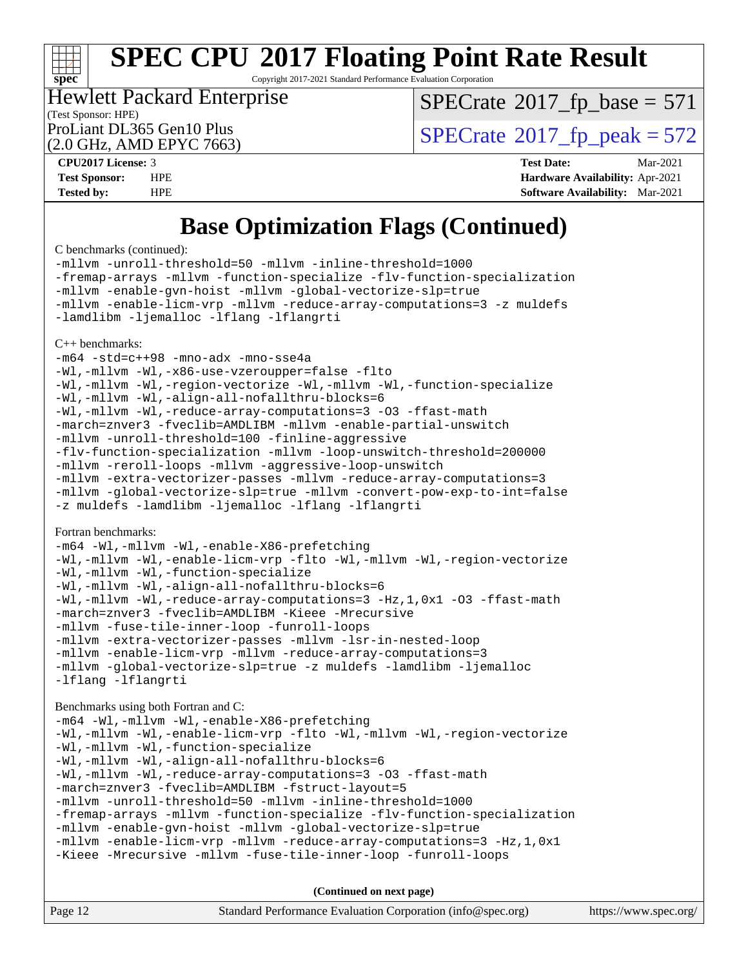

Copyright 2017-2021 Standard Performance Evaluation Corporation

#### (Test Sponsor: HPE) Hewlett Packard Enterprise

 $SPECTate@2017_fp\_base = 571$ 

(2.0 GHz, AMD EPYC 7663)

ProLiant DL365 Gen10 Plus  $\text{SPECrate}^{\otimes}2017\_fp\_peak = 572$  $\text{SPECrate}^{\otimes}2017\_fp\_peak = 572$  $\text{SPECrate}^{\otimes}2017\_fp\_peak = 572$ 

**[CPU2017 License:](http://www.spec.org/auto/cpu2017/Docs/result-fields.html#CPU2017License)** 3 **[Test Date:](http://www.spec.org/auto/cpu2017/Docs/result-fields.html#TestDate)** Mar-2021 **[Test Sponsor:](http://www.spec.org/auto/cpu2017/Docs/result-fields.html#TestSponsor)** HPE **[Hardware Availability:](http://www.spec.org/auto/cpu2017/Docs/result-fields.html#HardwareAvailability)** Apr-2021 **[Tested by:](http://www.spec.org/auto/cpu2017/Docs/result-fields.html#Testedby)** HPE **[Software Availability:](http://www.spec.org/auto/cpu2017/Docs/result-fields.html#SoftwareAvailability)** Mar-2021

## **[Base Optimization Flags \(Continued\)](http://www.spec.org/auto/cpu2017/Docs/result-fields.html#BaseOptimizationFlags)**

[C benchmarks](http://www.spec.org/auto/cpu2017/Docs/result-fields.html#Cbenchmarks) (continued):

[-mllvm -unroll-threshold=50](http://www.spec.org/cpu2017/results/res2021q2/cpu2017-20210512-26340.flags.html#user_CCbase_F-unroll-threshold_458874500b2c105d6d5cb4d7a611c40e2b16e9e3d26b355fea72d644c3673b4de4b3932662f0ed3dbec75c491a13da2d2ca81180bd779dc531083ef1e1e549dc) [-mllvm -inline-threshold=1000](http://www.spec.org/cpu2017/results/res2021q2/cpu2017-20210512-26340.flags.html#user_CCbase_F-inline-threshold_b7832241b0a6397e4ecdbaf0eb7defdc10f885c2a282fa3240fdc99844d543fda39cf8a4a9dccf68cf19b5438ac3b455264f478df15da0f4988afa40d8243bab) [-fremap-arrays](http://www.spec.org/cpu2017/results/res2021q2/cpu2017-20210512-26340.flags.html#user_CCbase_F-fremap-arrays) [-mllvm -function-specialize](http://www.spec.org/cpu2017/results/res2021q2/cpu2017-20210512-26340.flags.html#user_CCbase_F-function-specialize_233b3bdba86027f1b094368157e481c5bc59f40286dc25bfadc1858dcd5745c24fd30d5f188710db7fea399bcc9f44a80b3ce3aacc70a8870250c3ae5e1f35b8) [-flv-function-specialization](http://www.spec.org/cpu2017/results/res2021q2/cpu2017-20210512-26340.flags.html#user_CCbase_F-flv-function-specialization) [-mllvm -enable-gvn-hoist](http://www.spec.org/cpu2017/results/res2021q2/cpu2017-20210512-26340.flags.html#user_CCbase_F-enable-gvn-hoist_e5856354646dd6ca1333a0ad99b817e4cf8932b91b82809fd8fd47ceff7b22a89eba5c98fd3e3fa5200368fd772cec3dd56abc3c8f7b655a71b9f9848dddedd5) [-mllvm -global-vectorize-slp=true](http://www.spec.org/cpu2017/results/res2021q2/cpu2017-20210512-26340.flags.html#user_CCbase_F-global-vectorize-slp_f701c289ed3fc79483844cad3672606d268e3123d2651e764a36e57810b634b30ff7af25c43ce4288d0e4c1cc47ba156fce6ed971bc0d0e53c4c557f353d3dec) [-mllvm -enable-licm-vrp](http://www.spec.org/cpu2017/results/res2021q2/cpu2017-20210512-26340.flags.html#user_CCbase_F-enable-licm-vrp_82fd83574dee81d8c8043a1355024a53ba7c23d449242d72368fd778ae4cd8625fb6c8e473e88c632367ccc13b0c321b9a13b8db897fcfc1592cf0205fd356b5) [-mllvm -reduce-array-computations=3](http://www.spec.org/cpu2017/results/res2021q2/cpu2017-20210512-26340.flags.html#user_CCbase_F-reduce-array-computations) [-z muldefs](http://www.spec.org/cpu2017/results/res2021q2/cpu2017-20210512-26340.flags.html#user_CCbase_aocc-muldefs) [-lamdlibm](http://www.spec.org/cpu2017/results/res2021q2/cpu2017-20210512-26340.flags.html#user_CCbase_F-lamdlibm) [-ljemalloc](http://www.spec.org/cpu2017/results/res2021q2/cpu2017-20210512-26340.flags.html#user_CCbase_jemalloc-lib) [-lflang](http://www.spec.org/cpu2017/results/res2021q2/cpu2017-20210512-26340.flags.html#user_CCbase_F-lflang) [-lflangrti](http://www.spec.org/cpu2017/results/res2021q2/cpu2017-20210512-26340.flags.html#user_CCbase_F-lflangrti) [C++ benchmarks:](http://www.spec.org/auto/cpu2017/Docs/result-fields.html#CXXbenchmarks) [-m64](http://www.spec.org/cpu2017/results/res2021q2/cpu2017-20210512-26340.flags.html#user_CXXbase_F-m64) [-std=c++98](http://www.spec.org/cpu2017/results/res2021q2/cpu2017-20210512-26340.flags.html#user_CXXbase_std-cpp) [-mno-adx](http://www.spec.org/cpu2017/results/res2021q2/cpu2017-20210512-26340.flags.html#user_CXXbase_F-mno-adx) [-mno-sse4a](http://www.spec.org/cpu2017/results/res2021q2/cpu2017-20210512-26340.flags.html#user_CXXbase_F-mno-sse4a) [-Wl,-mllvm -Wl,-x86-use-vzeroupper=false](http://www.spec.org/cpu2017/results/res2021q2/cpu2017-20210512-26340.flags.html#user_CXXbase_F-use-vzeroupper_f792211b0552b0142c11cf651c85f88d7eca3e3e6d4ab29ab8b0b7be9c7d83df7aebb846b5dded1424ec84d39acb59d058815f97bc3ae9de4ba00ee4e2945c83) [-flto](http://www.spec.org/cpu2017/results/res2021q2/cpu2017-20210512-26340.flags.html#user_CXXbase_aocc-flto) [-Wl,-mllvm -Wl,-region-vectorize](http://www.spec.org/cpu2017/results/res2021q2/cpu2017-20210512-26340.flags.html#user_CXXbase_F-region-vectorize_fb6c6b5aa293c88efc6c7c2b52b20755e943585b1fe8658c35afef78727fff56e1a56891413c30e36b8e2a6f9a71126986319243e80eb6110b78b288f533c52b) [-Wl,-mllvm -Wl,-function-specialize](http://www.spec.org/cpu2017/results/res2021q2/cpu2017-20210512-26340.flags.html#user_CXXbase_F-function-specialize_7e7e661e57922243ee67c9a1251cb8910e607325179a0ce7f2884e09a6f5d4a5ef0ae4f37e8a2a11c95fc48e931f06dc2b6016f14b511fcb441e048bef1b065a) [-Wl,-mllvm -Wl,-align-all-nofallthru-blocks=6](http://www.spec.org/cpu2017/results/res2021q2/cpu2017-20210512-26340.flags.html#user_CXXbase_F-align-all-nofallthru-blocks) [-Wl,-mllvm -Wl,-reduce-array-computations=3](http://www.spec.org/cpu2017/results/res2021q2/cpu2017-20210512-26340.flags.html#user_CXXbase_F-reduce-array-computations_b882aefe7a5dda4e33149f6299762b9a720dace3e498e13756f4c04e5a19edf5315c1f3993de2e61ec41e8c206231f84e05da7040e1bb5d69ba27d10a12507e4) [-O3](http://www.spec.org/cpu2017/results/res2021q2/cpu2017-20210512-26340.flags.html#user_CXXbase_F-O3) [-ffast-math](http://www.spec.org/cpu2017/results/res2021q2/cpu2017-20210512-26340.flags.html#user_CXXbase_aocc-ffast-math) [-march=znver3](http://www.spec.org/cpu2017/results/res2021q2/cpu2017-20210512-26340.flags.html#user_CXXbase_aocc-march) [-fveclib=AMDLIBM](http://www.spec.org/cpu2017/results/res2021q2/cpu2017-20210512-26340.flags.html#user_CXXbase_F-fveclib) [-mllvm -enable-partial-unswitch](http://www.spec.org/cpu2017/results/res2021q2/cpu2017-20210512-26340.flags.html#user_CXXbase_F-enable-partial-unswitch_6e1c33f981d77963b1eaf834973128a7f33ce3f8e27f54689656697a35e89dcc875281e0e6283d043e32f367dcb605ba0e307a92e830f7e326789fa6c61b35d3) [-mllvm -unroll-threshold=100](http://www.spec.org/cpu2017/results/res2021q2/cpu2017-20210512-26340.flags.html#user_CXXbase_F-unroll-threshold) [-finline-aggressive](http://www.spec.org/cpu2017/results/res2021q2/cpu2017-20210512-26340.flags.html#user_CXXbase_F-finline-aggressive) [-flv-function-specialization](http://www.spec.org/cpu2017/results/res2021q2/cpu2017-20210512-26340.flags.html#user_CXXbase_F-flv-function-specialization) [-mllvm -loop-unswitch-threshold=200000](http://www.spec.org/cpu2017/results/res2021q2/cpu2017-20210512-26340.flags.html#user_CXXbase_F-loop-unswitch-threshold_f9a82ae3270e55b5fbf79d0d96ee93606b73edbbe527d20b18b7bff1a3a146ad50cfc7454c5297978340ae9213029016a7d16221274d672d3f7f42ed25274e1d) [-mllvm -reroll-loops](http://www.spec.org/cpu2017/results/res2021q2/cpu2017-20210512-26340.flags.html#user_CXXbase_F-reroll-loops) [-mllvm -aggressive-loop-unswitch](http://www.spec.org/cpu2017/results/res2021q2/cpu2017-20210512-26340.flags.html#user_CXXbase_F-aggressive-loop-unswitch_abd8177005d493f9a81f88ae32814acdc0422950e54bc53b0605c538e2e7549eb43d48c826089056b98aa2f0c142dc7ed1401fa1c97db9286a8c3ff748437b59) [-mllvm -extra-vectorizer-passes](http://www.spec.org/cpu2017/results/res2021q2/cpu2017-20210512-26340.flags.html#user_CXXbase_F-extra-vectorizer-passes_4bb9f90681e045f5ce38050c5c48e52c5a95ed819cbc44e12f6b389a91a38f1bfb7d9f51b06906bf2bd7ccd881019f6383c418982c71e3a142c10a060056d555) [-mllvm -reduce-array-computations=3](http://www.spec.org/cpu2017/results/res2021q2/cpu2017-20210512-26340.flags.html#user_CXXbase_F-reduce-array-computations) [-mllvm -global-vectorize-slp=true](http://www.spec.org/cpu2017/results/res2021q2/cpu2017-20210512-26340.flags.html#user_CXXbase_F-global-vectorize-slp_f701c289ed3fc79483844cad3672606d268e3123d2651e764a36e57810b634b30ff7af25c43ce4288d0e4c1cc47ba156fce6ed971bc0d0e53c4c557f353d3dec) [-mllvm -convert-pow-exp-to-int=false](http://www.spec.org/cpu2017/results/res2021q2/cpu2017-20210512-26340.flags.html#user_CXXbase_F-convert-pow-exp-to-int_48075d7f300181d7350b7c152e089ba974e4acf53c583458eae87b0ecd6f9aa5a8546e2797aca77a784d497b972647cfd65b81c02996ee1106af5ba1043433c1) [-z muldefs](http://www.spec.org/cpu2017/results/res2021q2/cpu2017-20210512-26340.flags.html#user_CXXbase_aocc-muldefs) [-lamdlibm](http://www.spec.org/cpu2017/results/res2021q2/cpu2017-20210512-26340.flags.html#user_CXXbase_F-lamdlibm) [-ljemalloc](http://www.spec.org/cpu2017/results/res2021q2/cpu2017-20210512-26340.flags.html#user_CXXbase_jemalloc-lib) [-lflang](http://www.spec.org/cpu2017/results/res2021q2/cpu2017-20210512-26340.flags.html#user_CXXbase_F-lflang) [-lflangrti](http://www.spec.org/cpu2017/results/res2021q2/cpu2017-20210512-26340.flags.html#user_CXXbase_F-lflangrti) [Fortran benchmarks](http://www.spec.org/auto/cpu2017/Docs/result-fields.html#Fortranbenchmarks): [-m64](http://www.spec.org/cpu2017/results/res2021q2/cpu2017-20210512-26340.flags.html#user_FCbase_F-m64) [-Wl,-mllvm -Wl,-enable-X86-prefetching](http://www.spec.org/cpu2017/results/res2021q2/cpu2017-20210512-26340.flags.html#user_FCbase_F-enable-X86-prefetching_362de7b2f7f327d498ff3502bcaa6d8937de40fbbc59a600e539433e6b2cb9ea5e30d4a00c3465ce74a160670b5fcaffd57d10fdc90b0d7ee2c6f387a6bf1aee) [-Wl,-mllvm -Wl,-enable-licm-vrp](http://www.spec.org/cpu2017/results/res2021q2/cpu2017-20210512-26340.flags.html#user_FCbase_F-enable-licm-vrp_65c4fc69039207ec88421e1591ba3bbf2ac715c2f390cac268ece6f40ae7757bd65f971ef38c9b70aedd2bf37e4037d3d64a7fe88db6aed78b6f244274772259) [-flto](http://www.spec.org/cpu2017/results/res2021q2/cpu2017-20210512-26340.flags.html#user_FCbase_aocc-flto) [-Wl,-mllvm -Wl,-region-vectorize](http://www.spec.org/cpu2017/results/res2021q2/cpu2017-20210512-26340.flags.html#user_FCbase_F-region-vectorize_fb6c6b5aa293c88efc6c7c2b52b20755e943585b1fe8658c35afef78727fff56e1a56891413c30e36b8e2a6f9a71126986319243e80eb6110b78b288f533c52b) [-Wl,-mllvm -Wl,-function-specialize](http://www.spec.org/cpu2017/results/res2021q2/cpu2017-20210512-26340.flags.html#user_FCbase_F-function-specialize_7e7e661e57922243ee67c9a1251cb8910e607325179a0ce7f2884e09a6f5d4a5ef0ae4f37e8a2a11c95fc48e931f06dc2b6016f14b511fcb441e048bef1b065a) [-Wl,-mllvm -Wl,-align-all-nofallthru-blocks=6](http://www.spec.org/cpu2017/results/res2021q2/cpu2017-20210512-26340.flags.html#user_FCbase_F-align-all-nofallthru-blocks) [-Wl,-mllvm -Wl,-reduce-array-computations=3](http://www.spec.org/cpu2017/results/res2021q2/cpu2017-20210512-26340.flags.html#user_FCbase_F-reduce-array-computations_b882aefe7a5dda4e33149f6299762b9a720dace3e498e13756f4c04e5a19edf5315c1f3993de2e61ec41e8c206231f84e05da7040e1bb5d69ba27d10a12507e4) -Hz, 1, 0x1 [-O3](http://www.spec.org/cpu2017/results/res2021q2/cpu2017-20210512-26340.flags.html#user_FCbase_F-O3) [-ffast-math](http://www.spec.org/cpu2017/results/res2021q2/cpu2017-20210512-26340.flags.html#user_FCbase_aocc-ffast-math) [-march=znver3](http://www.spec.org/cpu2017/results/res2021q2/cpu2017-20210512-26340.flags.html#user_FCbase_aocc-march) [-fveclib=AMDLIBM](http://www.spec.org/cpu2017/results/res2021q2/cpu2017-20210512-26340.flags.html#user_FCbase_F-fveclib) [-Kieee](http://www.spec.org/cpu2017/results/res2021q2/cpu2017-20210512-26340.flags.html#user_FCbase_F-kieee) [-Mrecursive](http://www.spec.org/cpu2017/results/res2021q2/cpu2017-20210512-26340.flags.html#user_FCbase_F-mrecursive) [-mllvm -fuse-tile-inner-loop](http://www.spec.org/cpu2017/results/res2021q2/cpu2017-20210512-26340.flags.html#user_FCbase_F-fuse-tile-inner-loop_a96ec74f3ab7113ca948afab2f7df720fdaa7c20bd316986c0fe40ef5f82f2613ee26bde25c6cf421f527cd549c2b0b12b7e2cdf22e7a5a52600673d8851f1df) [-funroll-loops](http://www.spec.org/cpu2017/results/res2021q2/cpu2017-20210512-26340.flags.html#user_FCbase_aocc-unroll-loops) [-mllvm -extra-vectorizer-passes](http://www.spec.org/cpu2017/results/res2021q2/cpu2017-20210512-26340.flags.html#user_FCbase_F-extra-vectorizer-passes_4bb9f90681e045f5ce38050c5c48e52c5a95ed819cbc44e12f6b389a91a38f1bfb7d9f51b06906bf2bd7ccd881019f6383c418982c71e3a142c10a060056d555) [-mllvm -lsr-in-nested-loop](http://www.spec.org/cpu2017/results/res2021q2/cpu2017-20210512-26340.flags.html#user_FCbase_F-lsr-in-nested-loop_73f878522b3ccb742989d8e6de767863b372c2128b38f859376ee3fb883bc58dcc0955f53f856eb534bcc3be9d53927141e78ef6b7f1398bb0518a7b833043eb) [-mllvm -enable-licm-vrp](http://www.spec.org/cpu2017/results/res2021q2/cpu2017-20210512-26340.flags.html#user_FCbase_F-enable-licm-vrp_82fd83574dee81d8c8043a1355024a53ba7c23d449242d72368fd778ae4cd8625fb6c8e473e88c632367ccc13b0c321b9a13b8db897fcfc1592cf0205fd356b5) [-mllvm -reduce-array-computations=3](http://www.spec.org/cpu2017/results/res2021q2/cpu2017-20210512-26340.flags.html#user_FCbase_F-reduce-array-computations) [-mllvm -global-vectorize-slp=true](http://www.spec.org/cpu2017/results/res2021q2/cpu2017-20210512-26340.flags.html#user_FCbase_F-global-vectorize-slp_f701c289ed3fc79483844cad3672606d268e3123d2651e764a36e57810b634b30ff7af25c43ce4288d0e4c1cc47ba156fce6ed971bc0d0e53c4c557f353d3dec) [-z muldefs](http://www.spec.org/cpu2017/results/res2021q2/cpu2017-20210512-26340.flags.html#user_FCbase_aocc-muldefs) [-lamdlibm](http://www.spec.org/cpu2017/results/res2021q2/cpu2017-20210512-26340.flags.html#user_FCbase_F-lamdlibm) [-ljemalloc](http://www.spec.org/cpu2017/results/res2021q2/cpu2017-20210512-26340.flags.html#user_FCbase_jemalloc-lib) [-lflang](http://www.spec.org/cpu2017/results/res2021q2/cpu2017-20210512-26340.flags.html#user_FCbase_F-lflang) [-lflangrti](http://www.spec.org/cpu2017/results/res2021q2/cpu2017-20210512-26340.flags.html#user_FCbase_F-lflangrti)

[Benchmarks using both Fortran and C](http://www.spec.org/auto/cpu2017/Docs/result-fields.html#BenchmarksusingbothFortranandC):

[-m64](http://www.spec.org/cpu2017/results/res2021q2/cpu2017-20210512-26340.flags.html#user_CC_FCbase_F-m64) [-Wl,-mllvm -Wl,-enable-X86-prefetching](http://www.spec.org/cpu2017/results/res2021q2/cpu2017-20210512-26340.flags.html#user_CC_FCbase_F-enable-X86-prefetching_362de7b2f7f327d498ff3502bcaa6d8937de40fbbc59a600e539433e6b2cb9ea5e30d4a00c3465ce74a160670b5fcaffd57d10fdc90b0d7ee2c6f387a6bf1aee) [-Wl,-mllvm -Wl,-enable-licm-vrp](http://www.spec.org/cpu2017/results/res2021q2/cpu2017-20210512-26340.flags.html#user_CC_FCbase_F-enable-licm-vrp_65c4fc69039207ec88421e1591ba3bbf2ac715c2f390cac268ece6f40ae7757bd65f971ef38c9b70aedd2bf37e4037d3d64a7fe88db6aed78b6f244274772259) [-flto](http://www.spec.org/cpu2017/results/res2021q2/cpu2017-20210512-26340.flags.html#user_CC_FCbase_aocc-flto) [-Wl,-mllvm -Wl,-region-vectorize](http://www.spec.org/cpu2017/results/res2021q2/cpu2017-20210512-26340.flags.html#user_CC_FCbase_F-region-vectorize_fb6c6b5aa293c88efc6c7c2b52b20755e943585b1fe8658c35afef78727fff56e1a56891413c30e36b8e2a6f9a71126986319243e80eb6110b78b288f533c52b) [-Wl,-mllvm -Wl,-function-specialize](http://www.spec.org/cpu2017/results/res2021q2/cpu2017-20210512-26340.flags.html#user_CC_FCbase_F-function-specialize_7e7e661e57922243ee67c9a1251cb8910e607325179a0ce7f2884e09a6f5d4a5ef0ae4f37e8a2a11c95fc48e931f06dc2b6016f14b511fcb441e048bef1b065a) [-Wl,-mllvm -Wl,-align-all-nofallthru-blocks=6](http://www.spec.org/cpu2017/results/res2021q2/cpu2017-20210512-26340.flags.html#user_CC_FCbase_F-align-all-nofallthru-blocks) [-Wl,-mllvm -Wl,-reduce-array-computations=3](http://www.spec.org/cpu2017/results/res2021q2/cpu2017-20210512-26340.flags.html#user_CC_FCbase_F-reduce-array-computations_b882aefe7a5dda4e33149f6299762b9a720dace3e498e13756f4c04e5a19edf5315c1f3993de2e61ec41e8c206231f84e05da7040e1bb5d69ba27d10a12507e4) [-O3](http://www.spec.org/cpu2017/results/res2021q2/cpu2017-20210512-26340.flags.html#user_CC_FCbase_F-O3) [-ffast-math](http://www.spec.org/cpu2017/results/res2021q2/cpu2017-20210512-26340.flags.html#user_CC_FCbase_aocc-ffast-math) [-march=znver3](http://www.spec.org/cpu2017/results/res2021q2/cpu2017-20210512-26340.flags.html#user_CC_FCbase_aocc-march) [-fveclib=AMDLIBM](http://www.spec.org/cpu2017/results/res2021q2/cpu2017-20210512-26340.flags.html#user_CC_FCbase_F-fveclib) [-fstruct-layout=5](http://www.spec.org/cpu2017/results/res2021q2/cpu2017-20210512-26340.flags.html#user_CC_FCbase_F-struct-layout) [-mllvm -unroll-threshold=50](http://www.spec.org/cpu2017/results/res2021q2/cpu2017-20210512-26340.flags.html#user_CC_FCbase_F-unroll-threshold_458874500b2c105d6d5cb4d7a611c40e2b16e9e3d26b355fea72d644c3673b4de4b3932662f0ed3dbec75c491a13da2d2ca81180bd779dc531083ef1e1e549dc) [-mllvm -inline-threshold=1000](http://www.spec.org/cpu2017/results/res2021q2/cpu2017-20210512-26340.flags.html#user_CC_FCbase_F-inline-threshold_b7832241b0a6397e4ecdbaf0eb7defdc10f885c2a282fa3240fdc99844d543fda39cf8a4a9dccf68cf19b5438ac3b455264f478df15da0f4988afa40d8243bab) [-fremap-arrays](http://www.spec.org/cpu2017/results/res2021q2/cpu2017-20210512-26340.flags.html#user_CC_FCbase_F-fremap-arrays) [-mllvm -function-specialize](http://www.spec.org/cpu2017/results/res2021q2/cpu2017-20210512-26340.flags.html#user_CC_FCbase_F-function-specialize_233b3bdba86027f1b094368157e481c5bc59f40286dc25bfadc1858dcd5745c24fd30d5f188710db7fea399bcc9f44a80b3ce3aacc70a8870250c3ae5e1f35b8) [-flv-function-specialization](http://www.spec.org/cpu2017/results/res2021q2/cpu2017-20210512-26340.flags.html#user_CC_FCbase_F-flv-function-specialization) [-mllvm -enable-gvn-hoist](http://www.spec.org/cpu2017/results/res2021q2/cpu2017-20210512-26340.flags.html#user_CC_FCbase_F-enable-gvn-hoist_e5856354646dd6ca1333a0ad99b817e4cf8932b91b82809fd8fd47ceff7b22a89eba5c98fd3e3fa5200368fd772cec3dd56abc3c8f7b655a71b9f9848dddedd5) [-mllvm -global-vectorize-slp=true](http://www.spec.org/cpu2017/results/res2021q2/cpu2017-20210512-26340.flags.html#user_CC_FCbase_F-global-vectorize-slp_f701c289ed3fc79483844cad3672606d268e3123d2651e764a36e57810b634b30ff7af25c43ce4288d0e4c1cc47ba156fce6ed971bc0d0e53c4c557f353d3dec) [-mllvm -enable-licm-vrp](http://www.spec.org/cpu2017/results/res2021q2/cpu2017-20210512-26340.flags.html#user_CC_FCbase_F-enable-licm-vrp_82fd83574dee81d8c8043a1355024a53ba7c23d449242d72368fd778ae4cd8625fb6c8e473e88c632367ccc13b0c321b9a13b8db897fcfc1592cf0205fd356b5) [-mllvm -reduce-array-computations=3](http://www.spec.org/cpu2017/results/res2021q2/cpu2017-20210512-26340.flags.html#user_CC_FCbase_F-reduce-array-computations) [-Hz,1,0x1](http://www.spec.org/cpu2017/results/res2021q2/cpu2017-20210512-26340.flags.html#user_CC_FCbase_F-save-array-metadata) [-Kieee](http://www.spec.org/cpu2017/results/res2021q2/cpu2017-20210512-26340.flags.html#user_CC_FCbase_F-kieee) [-Mrecursive](http://www.spec.org/cpu2017/results/res2021q2/cpu2017-20210512-26340.flags.html#user_CC_FCbase_F-mrecursive) [-mllvm -fuse-tile-inner-loop](http://www.spec.org/cpu2017/results/res2021q2/cpu2017-20210512-26340.flags.html#user_CC_FCbase_F-fuse-tile-inner-loop_a96ec74f3ab7113ca948afab2f7df720fdaa7c20bd316986c0fe40ef5f82f2613ee26bde25c6cf421f527cd549c2b0b12b7e2cdf22e7a5a52600673d8851f1df) [-funroll-loops](http://www.spec.org/cpu2017/results/res2021q2/cpu2017-20210512-26340.flags.html#user_CC_FCbase_aocc-unroll-loops)

**(Continued on next page)**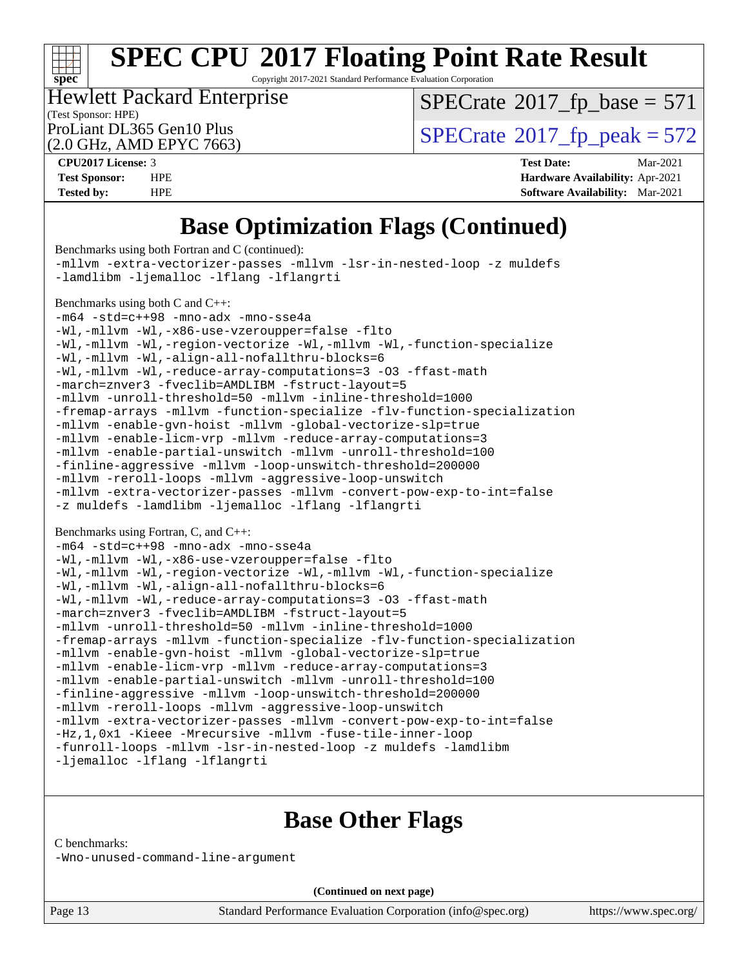

Copyright 2017-2021 Standard Performance Evaluation Corporation

#### (Test Sponsor: HPE) Hewlett Packard Enterprise

 $SPECTate@2017_fp\_base = 571$ 

(2.0 GHz, AMD EPYC 7663)

ProLiant DL365 Gen10 Plus<br>(2.0 GHz, AMD EPYC 7663)  $\text{SPECrate}$  $\text{SPECrate}$  $\text{SPECrate}$ <sup>®</sup>[2017\\_fp\\_peak = 5](http://www.spec.org/auto/cpu2017/Docs/result-fields.html#SPECrate2017fppeak)72

**[CPU2017 License:](http://www.spec.org/auto/cpu2017/Docs/result-fields.html#CPU2017License)** 3 **[Test Date:](http://www.spec.org/auto/cpu2017/Docs/result-fields.html#TestDate)** Mar-2021 **[Test Sponsor:](http://www.spec.org/auto/cpu2017/Docs/result-fields.html#TestSponsor)** HPE **[Hardware Availability:](http://www.spec.org/auto/cpu2017/Docs/result-fields.html#HardwareAvailability)** Apr-2021 **[Tested by:](http://www.spec.org/auto/cpu2017/Docs/result-fields.html#Testedby)** HPE **[Software Availability:](http://www.spec.org/auto/cpu2017/Docs/result-fields.html#SoftwareAvailability)** Mar-2021

## **[Base Optimization Flags \(Continued\)](http://www.spec.org/auto/cpu2017/Docs/result-fields.html#BaseOptimizationFlags)**

| Benchmarks using both Fortran and C (continued):                                                                                                                                                                                                                                                                                                                                                                                                                                                                                                                                       |
|----------------------------------------------------------------------------------------------------------------------------------------------------------------------------------------------------------------------------------------------------------------------------------------------------------------------------------------------------------------------------------------------------------------------------------------------------------------------------------------------------------------------------------------------------------------------------------------|
| -mllvm -extra-vectorizer-passes -mllvm -lsr-in-nested-loop -z muldefs                                                                                                                                                                                                                                                                                                                                                                                                                                                                                                                  |
| -lamdlibm -ljemalloc -lflang -lflangrti                                                                                                                                                                                                                                                                                                                                                                                                                                                                                                                                                |
| Benchmarks using both C and C++:<br>-m64 -std=c++98 -mno-adx -mno-sse4a<br>-Wl,-mllvm -Wl,-x86-use-vzeroupper=false -flto<br>-Wl,-mllvm -Wl,-region-vectorize -Wl,-mllvm -Wl,-function-specialize<br>-Wl,-mllvm -Wl,-align-all-nofallthru-blocks=6<br>-Wl,-mllvm -Wl,-reduce-array-computations=3 -03 -ffast-math                                                                                                                                                                                                                                                                      |
| -march=znver3 -fveclib=AMDLIBM -fstruct-layout=5                                                                                                                                                                                                                                                                                                                                                                                                                                                                                                                                       |
| -mllvm -unroll-threshold=50 -mllvm -inline-threshold=1000<br>-fremap-arrays -mllvm -function-specialize -flv-function-specialization<br>-mllvm -enable-gvn-hoist -mllvm -global-vectorize-slp=true<br>-mllvm -enable-licm-vrp -mllvm -reduce-array-computations=3<br>-mllvm -enable-partial-unswitch -mllvm -unroll-threshold=100<br>-finline-aggressive -mllvm -loop-unswitch-threshold=200000<br>-mllvm -reroll-loops -mllvm -aggressive-loop-unswitch<br>-mllvm -extra-vectorizer-passes -mllvm -convert-pow-exp-to-int=false<br>-z muldefs -lamdlibm -ljemalloc -lflang -lflangrti |
| Benchmarks using Fortran, C, and C++:                                                                                                                                                                                                                                                                                                                                                                                                                                                                                                                                                  |
| -m64 -std=c++98 -mno-adx -mno-sse4a                                                                                                                                                                                                                                                                                                                                                                                                                                                                                                                                                    |
| -Wl,-mllvm -Wl,-x86-use-vzeroupper=false -flto                                                                                                                                                                                                                                                                                                                                                                                                                                                                                                                                         |
| -Wl,-mllvm -Wl,-region-vectorize -Wl,-mllvm -Wl,-function-specialize                                                                                                                                                                                                                                                                                                                                                                                                                                                                                                                   |
| -Wl,-mllvm -Wl,-align-all-nofallthru-blocks=6                                                                                                                                                                                                                                                                                                                                                                                                                                                                                                                                          |
| -Wl,-mllvm -Wl,-reduce-array-computations=3 -03 -ffast-math<br>-march=znver3 -fveclib=AMDLIBM -fstruct-layout=5                                                                                                                                                                                                                                                                                                                                                                                                                                                                        |
| -mllvm -unroll-threshold=50 -mllvm -inline-threshold=1000                                                                                                                                                                                                                                                                                                                                                                                                                                                                                                                              |
| -fremap-arrays -mllvm -function-specialize -flv-function-specialization<br>-mllvm -enable-gvn-hoist -mllvm -global-vectorize-slp=true                                                                                                                                                                                                                                                                                                                                                                                                                                                  |
| -mllvm -enable-licm-vrp -mllvm -reduce-array-computations=3                                                                                                                                                                                                                                                                                                                                                                                                                                                                                                                            |
| -mllvm -enable-partial-unswitch -mllvm -unroll-threshold=100<br>-finline-aggressive -mllvm -loop-unswitch-threshold=200000                                                                                                                                                                                                                                                                                                                                                                                                                                                             |
| -mllvm -reroll-loops -mllvm -aggressive-loop-unswitch                                                                                                                                                                                                                                                                                                                                                                                                                                                                                                                                  |
| -mllvm -extra-vectorizer-passes -mllvm -convert-pow-exp-to-int=false                                                                                                                                                                                                                                                                                                                                                                                                                                                                                                                   |
| -Hz, 1, 0x1 -Kieee -Mrecursive -mllvm -fuse-tile-inner-loop                                                                                                                                                                                                                                                                                                                                                                                                                                                                                                                            |
| -funroll-loops -mllvm -lsr-in-nested-loop -z muldefs -lamdlibm                                                                                                                                                                                                                                                                                                                                                                                                                                                                                                                         |
| -ljemalloc -lflang -lflangrti                                                                                                                                                                                                                                                                                                                                                                                                                                                                                                                                                          |

### **[Base Other Flags](http://www.spec.org/auto/cpu2017/Docs/result-fields.html#BaseOtherFlags)**

[C benchmarks](http://www.spec.org/auto/cpu2017/Docs/result-fields.html#Cbenchmarks):

[-Wno-unused-command-line-argument](http://www.spec.org/cpu2017/results/res2021q2/cpu2017-20210512-26340.flags.html#user_CCbase_F-Wno-unused-command-line-argument)

**(Continued on next page)**

Page 13 Standard Performance Evaluation Corporation [\(info@spec.org\)](mailto:info@spec.org) <https://www.spec.org/>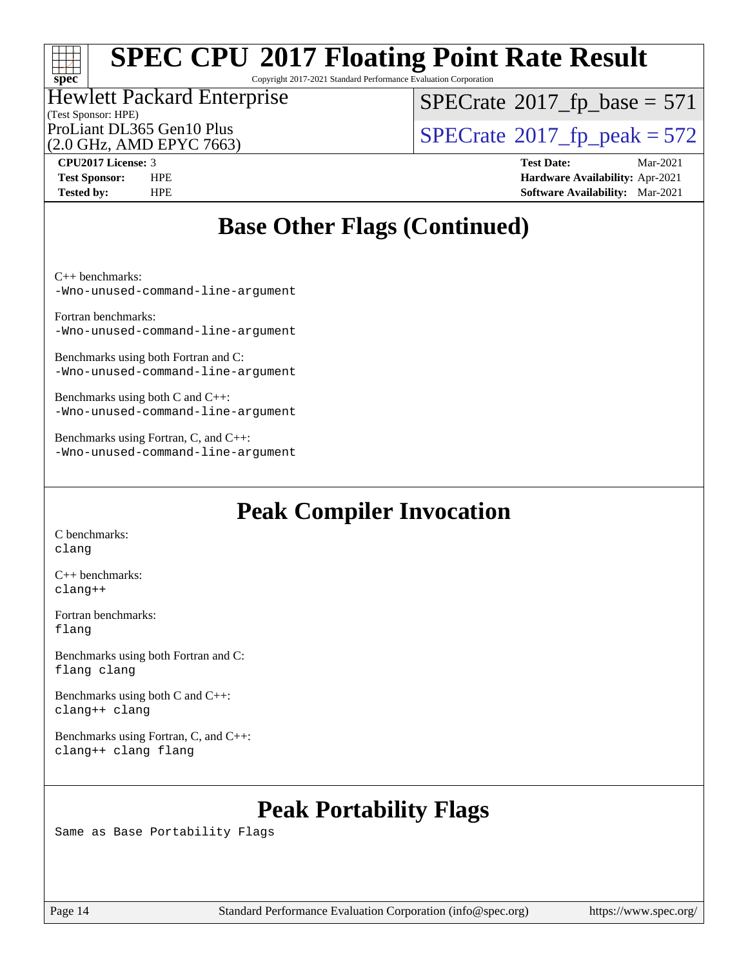### $+\ +$ **[spec](http://www.spec.org/)**

## **[SPEC CPU](http://www.spec.org/auto/cpu2017/Docs/result-fields.html#SPECCPU2017FloatingPointRateResult)[2017 Floating Point Rate Result](http://www.spec.org/auto/cpu2017/Docs/result-fields.html#SPECCPU2017FloatingPointRateResult)**

Copyright 2017-2021 Standard Performance Evaluation Corporation

## (Test Sponsor: HPE) Hewlett Packard Enterprise

 $SPECTate$ <sup>®</sup>[2017\\_fp\\_base =](http://www.spec.org/auto/cpu2017/Docs/result-fields.html#SPECrate2017fpbase) 571

(2.0 GHz, AMD EPYC 7663)

ProLiant DL365 Gen10 Plus<br>(2.0 GHz, AMD EPYC 7663)  $\text{SPECrate}$  $\text{SPECrate}$  $\text{SPECrate}$ <sup>®</sup>[2017\\_fp\\_peak = 5](http://www.spec.org/auto/cpu2017/Docs/result-fields.html#SPECrate2017fppeak)72

**[CPU2017 License:](http://www.spec.org/auto/cpu2017/Docs/result-fields.html#CPU2017License)** 3 **[Test Date:](http://www.spec.org/auto/cpu2017/Docs/result-fields.html#TestDate)** Mar-2021 **[Test Sponsor:](http://www.spec.org/auto/cpu2017/Docs/result-fields.html#TestSponsor)** HPE **[Hardware Availability:](http://www.spec.org/auto/cpu2017/Docs/result-fields.html#HardwareAvailability)** Apr-2021 **[Tested by:](http://www.spec.org/auto/cpu2017/Docs/result-fields.html#Testedby)** HPE **[Software Availability:](http://www.spec.org/auto/cpu2017/Docs/result-fields.html#SoftwareAvailability)** Mar-2021

## **[Base Other Flags \(Continued\)](http://www.spec.org/auto/cpu2017/Docs/result-fields.html#BaseOtherFlags)**

[C++ benchmarks](http://www.spec.org/auto/cpu2017/Docs/result-fields.html#CXXbenchmarks):

[-Wno-unused-command-line-argument](http://www.spec.org/cpu2017/results/res2021q2/cpu2017-20210512-26340.flags.html#user_CXXbase_F-Wno-unused-command-line-argument)

[Fortran benchmarks:](http://www.spec.org/auto/cpu2017/Docs/result-fields.html#Fortranbenchmarks) [-Wno-unused-command-line-argument](http://www.spec.org/cpu2017/results/res2021q2/cpu2017-20210512-26340.flags.html#user_FCbase_F-Wno-unused-command-line-argument)

[Benchmarks using both Fortran and C](http://www.spec.org/auto/cpu2017/Docs/result-fields.html#BenchmarksusingbothFortranandC): [-Wno-unused-command-line-argument](http://www.spec.org/cpu2017/results/res2021q2/cpu2017-20210512-26340.flags.html#user_CC_FCbase_F-Wno-unused-command-line-argument)

[Benchmarks using both C and C++:](http://www.spec.org/auto/cpu2017/Docs/result-fields.html#BenchmarksusingbothCandCXX) [-Wno-unused-command-line-argument](http://www.spec.org/cpu2017/results/res2021q2/cpu2017-20210512-26340.flags.html#user_CC_CXXbase_F-Wno-unused-command-line-argument)

[Benchmarks using Fortran, C, and C++](http://www.spec.org/auto/cpu2017/Docs/result-fields.html#BenchmarksusingFortranCandCXX): [-Wno-unused-command-line-argument](http://www.spec.org/cpu2017/results/res2021q2/cpu2017-20210512-26340.flags.html#user_CC_CXX_FCbase_F-Wno-unused-command-line-argument)

## **[Peak Compiler Invocation](http://www.spec.org/auto/cpu2017/Docs/result-fields.html#PeakCompilerInvocation)**

[C benchmarks](http://www.spec.org/auto/cpu2017/Docs/result-fields.html#Cbenchmarks): [clang](http://www.spec.org/cpu2017/results/res2021q2/cpu2017-20210512-26340.flags.html#user_CCpeak_clang-c)

[C++ benchmarks:](http://www.spec.org/auto/cpu2017/Docs/result-fields.html#CXXbenchmarks) [clang++](http://www.spec.org/cpu2017/results/res2021q2/cpu2017-20210512-26340.flags.html#user_CXXpeak_clang-cpp)

[Fortran benchmarks](http://www.spec.org/auto/cpu2017/Docs/result-fields.html#Fortranbenchmarks): [flang](http://www.spec.org/cpu2017/results/res2021q2/cpu2017-20210512-26340.flags.html#user_FCpeak_flang)

[Benchmarks using both Fortran and C](http://www.spec.org/auto/cpu2017/Docs/result-fields.html#BenchmarksusingbothFortranandC): [flang](http://www.spec.org/cpu2017/results/res2021q2/cpu2017-20210512-26340.flags.html#user_CC_FCpeak_flang) [clang](http://www.spec.org/cpu2017/results/res2021q2/cpu2017-20210512-26340.flags.html#user_CC_FCpeak_clang-c)

[Benchmarks using both C and C++](http://www.spec.org/auto/cpu2017/Docs/result-fields.html#BenchmarksusingbothCandCXX): [clang++](http://www.spec.org/cpu2017/results/res2021q2/cpu2017-20210512-26340.flags.html#user_CC_CXXpeak_clang-cpp) [clang](http://www.spec.org/cpu2017/results/res2021q2/cpu2017-20210512-26340.flags.html#user_CC_CXXpeak_clang-c)

[Benchmarks using Fortran, C, and C++:](http://www.spec.org/auto/cpu2017/Docs/result-fields.html#BenchmarksusingFortranCandCXX) [clang++](http://www.spec.org/cpu2017/results/res2021q2/cpu2017-20210512-26340.flags.html#user_CC_CXX_FCpeak_clang-cpp) [clang](http://www.spec.org/cpu2017/results/res2021q2/cpu2017-20210512-26340.flags.html#user_CC_CXX_FCpeak_clang-c) [flang](http://www.spec.org/cpu2017/results/res2021q2/cpu2017-20210512-26340.flags.html#user_CC_CXX_FCpeak_flang)

## **[Peak Portability Flags](http://www.spec.org/auto/cpu2017/Docs/result-fields.html#PeakPortabilityFlags)**

Same as Base Portability Flags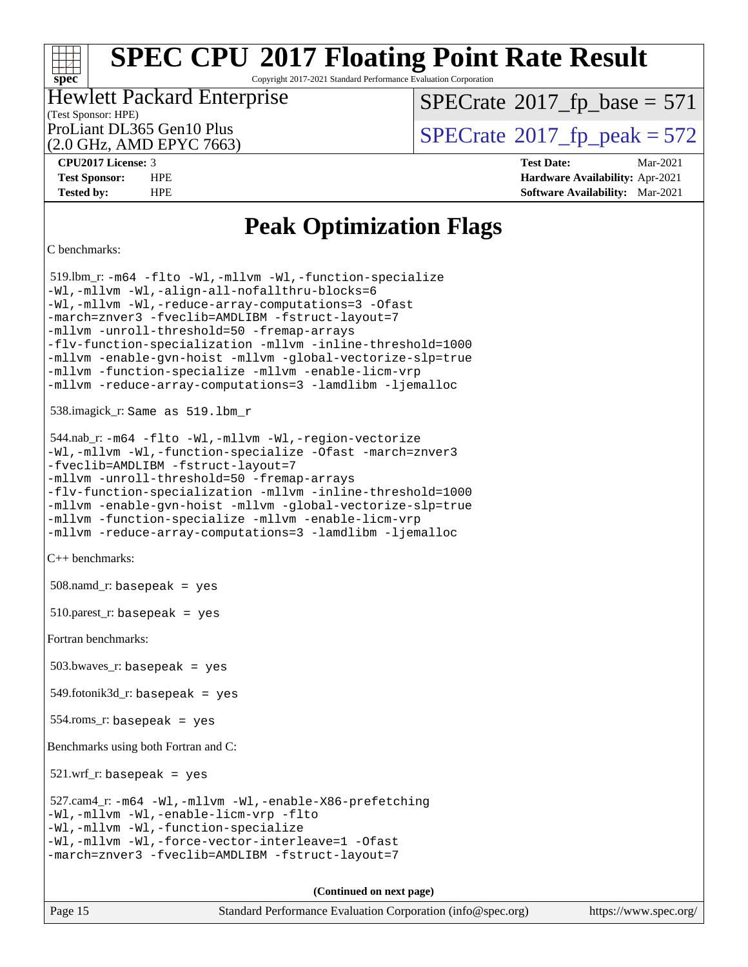### $\pm\pm\tau$ **[spec](http://www.spec.org/)**

## **[SPEC CPU](http://www.spec.org/auto/cpu2017/Docs/result-fields.html#SPECCPU2017FloatingPointRateResult)[2017 Floating Point Rate Result](http://www.spec.org/auto/cpu2017/Docs/result-fields.html#SPECCPU2017FloatingPointRateResult)**

Copyright 2017-2021 Standard Performance Evaluation Corporation

### (Test Sponsor: HPE) Hewlett Packard Enterprise

 $SPECTate$ <sup>®</sup>[2017\\_fp\\_base =](http://www.spec.org/auto/cpu2017/Docs/result-fields.html#SPECrate2017fpbase) 571

(2.0 GHz, AMD EPYC 7663)

ProLiant DL365 Gen10 Plus<br>(2.0 GHz, AMD FPYC 7663)  $\text{SPECrate}$  $\text{SPECrate}$  $\text{SPECrate}$ <sup>®</sup>[2017\\_fp\\_peak = 5](http://www.spec.org/auto/cpu2017/Docs/result-fields.html#SPECrate2017fppeak)72

**[CPU2017 License:](http://www.spec.org/auto/cpu2017/Docs/result-fields.html#CPU2017License)** 3 **[Test Date:](http://www.spec.org/auto/cpu2017/Docs/result-fields.html#TestDate)** Mar-2021 **[Test Sponsor:](http://www.spec.org/auto/cpu2017/Docs/result-fields.html#TestSponsor)** HPE **[Hardware Availability:](http://www.spec.org/auto/cpu2017/Docs/result-fields.html#HardwareAvailability)** Apr-2021 **[Tested by:](http://www.spec.org/auto/cpu2017/Docs/result-fields.html#Testedby)** HPE **[Software Availability:](http://www.spec.org/auto/cpu2017/Docs/result-fields.html#SoftwareAvailability)** Mar-2021

## **[Peak Optimization Flags](http://www.spec.org/auto/cpu2017/Docs/result-fields.html#PeakOptimizationFlags)**

[C benchmarks](http://www.spec.org/auto/cpu2017/Docs/result-fields.html#Cbenchmarks):

```
 519.lbm_r: -m64 -flto -Wl,-mllvm -Wl,-function-specialize
-Wl,-mllvm -Wl,-align-all-nofallthru-blocks=6
-Wl,-mllvm -Wl,-reduce-array-computations=3 -Ofast
-march=znver3 -fveclib=AMDLIBM -fstruct-layout=7
-mllvm -unroll-threshold=50 -fremap-arrays
-flv-function-specialization -mllvm -inline-threshold=1000
-mllvm -enable-gvn-hoist -mllvm -global-vectorize-slp=true
-mllvm -function-specialize -mllvm -enable-licm-vrp
-mllvm -reduce-array-computations=3 -lamdlibm -ljemalloc
 538.imagick_r: Same as 519.lbm_r
 544.nab_r: -m64 -flto -Wl,-mllvm -Wl,-region-vectorize
-Wl,-mllvm -Wl,-function-specialize -Ofast -march=znver3
-fveclib=AMDLIBM -fstruct-layout=7
-mllvm -unroll-threshold=50 -fremap-arrays
-flv-function-specialization -mllvm -inline-threshold=1000
-mllvm -enable-gvn-hoist -mllvm -global-vectorize-slp=true
-mllvm -function-specialize -mllvm -enable-licm-vrp
-mllvm -reduce-array-computations=3 -lamdlibm -ljemalloc
C++ benchmarks: 
 508.namd_r: basepeak = yes
510.parest_r: basepeak = yes
Fortran benchmarks: 
 503.bwaves_r: basepeak = yes
 549.fotonik3d_r: basepeak = yes
 554.roms_r: basepeak = yes
Benchmarks using both Fortran and C: 
521.wrf_r: basepeak = yes
 527.cam4_r: -m64 -Wl,-mllvm -Wl,-enable-X86-prefetching
-Wl,-mllvm -Wl,-enable-licm-vrp -flto
-Wl,-mllvm -Wl,-function-specialize
-Wl,-mllvm -Wl,-force-vector-interleave=1 -Ofast
-march=znver3 -fveclib=AMDLIBM -fstruct-layout=7
                                       (Continued on next page)
```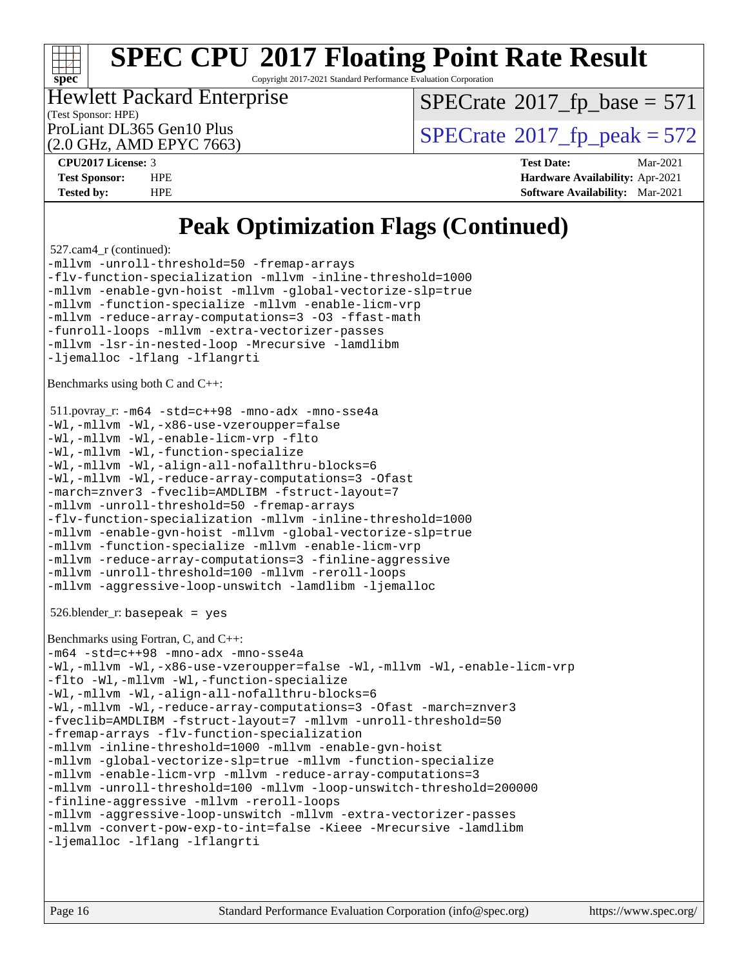

Copyright 2017-2021 Standard Performance Evaluation Corporation

(Test Sponsor: HPE) Hewlett Packard Enterprise

 $SPECTate$ <sup>®</sup>[2017\\_fp\\_base =](http://www.spec.org/auto/cpu2017/Docs/result-fields.html#SPECrate2017fpbase) 571

(2.0 GHz, AMD EPYC 7663)

ProLiant DL365 Gen10 Plus  $\text{SPECrate}$  $\text{SPECrate}$  $\text{SPECrate}$ <sup>®</sup>[2017\\_fp\\_peak = 5](http://www.spec.org/auto/cpu2017/Docs/result-fields.html#SPECrate2017fppeak)72

**[CPU2017 License:](http://www.spec.org/auto/cpu2017/Docs/result-fields.html#CPU2017License)** 3 **[Test Date:](http://www.spec.org/auto/cpu2017/Docs/result-fields.html#TestDate)** Mar-2021 **[Test Sponsor:](http://www.spec.org/auto/cpu2017/Docs/result-fields.html#TestSponsor)** HPE **[Hardware Availability:](http://www.spec.org/auto/cpu2017/Docs/result-fields.html#HardwareAvailability)** Apr-2021 **[Tested by:](http://www.spec.org/auto/cpu2017/Docs/result-fields.html#Testedby)** HPE **[Software Availability:](http://www.spec.org/auto/cpu2017/Docs/result-fields.html#SoftwareAvailability)** Mar-2021

## **[Peak Optimization Flags \(Continued\)](http://www.spec.org/auto/cpu2017/Docs/result-fields.html#PeakOptimizationFlags)**

 527.cam4\_r (continued): [-mllvm -unroll-threshold=50](http://www.spec.org/cpu2017/results/res2021q2/cpu2017-20210512-26340.flags.html#user_peakCOPTIMIZE527_cam4_r_F-unroll-threshold_458874500b2c105d6d5cb4d7a611c40e2b16e9e3d26b355fea72d644c3673b4de4b3932662f0ed3dbec75c491a13da2d2ca81180bd779dc531083ef1e1e549dc) [-fremap-arrays](http://www.spec.org/cpu2017/results/res2021q2/cpu2017-20210512-26340.flags.html#user_peakCOPTIMIZE527_cam4_r_F-fremap-arrays)

[-flv-function-specialization](http://www.spec.org/cpu2017/results/res2021q2/cpu2017-20210512-26340.flags.html#user_peakCOPTIMIZE527_cam4_r_F-flv-function-specialization) [-mllvm -inline-threshold=1000](http://www.spec.org/cpu2017/results/res2021q2/cpu2017-20210512-26340.flags.html#user_peakCOPTIMIZE527_cam4_r_F-inline-threshold_b7832241b0a6397e4ecdbaf0eb7defdc10f885c2a282fa3240fdc99844d543fda39cf8a4a9dccf68cf19b5438ac3b455264f478df15da0f4988afa40d8243bab) [-mllvm -enable-gvn-hoist](http://www.spec.org/cpu2017/results/res2021q2/cpu2017-20210512-26340.flags.html#user_peakCOPTIMIZE527_cam4_r_F-enable-gvn-hoist_e5856354646dd6ca1333a0ad99b817e4cf8932b91b82809fd8fd47ceff7b22a89eba5c98fd3e3fa5200368fd772cec3dd56abc3c8f7b655a71b9f9848dddedd5) [-mllvm -global-vectorize-slp=true](http://www.spec.org/cpu2017/results/res2021q2/cpu2017-20210512-26340.flags.html#user_peakCOPTIMIZE527_cam4_r_F-global-vectorize-slp_f701c289ed3fc79483844cad3672606d268e3123d2651e764a36e57810b634b30ff7af25c43ce4288d0e4c1cc47ba156fce6ed971bc0d0e53c4c557f353d3dec) [-mllvm -function-specialize](http://www.spec.org/cpu2017/results/res2021q2/cpu2017-20210512-26340.flags.html#user_peakCOPTIMIZE527_cam4_r_F-function-specialize_233b3bdba86027f1b094368157e481c5bc59f40286dc25bfadc1858dcd5745c24fd30d5f188710db7fea399bcc9f44a80b3ce3aacc70a8870250c3ae5e1f35b8) [-mllvm -enable-licm-vrp](http://www.spec.org/cpu2017/results/res2021q2/cpu2017-20210512-26340.flags.html#user_peakCOPTIMIZE527_cam4_r_F-enable-licm-vrp_82fd83574dee81d8c8043a1355024a53ba7c23d449242d72368fd778ae4cd8625fb6c8e473e88c632367ccc13b0c321b9a13b8db897fcfc1592cf0205fd356b5) [-mllvm -reduce-array-computations=3](http://www.spec.org/cpu2017/results/res2021q2/cpu2017-20210512-26340.flags.html#user_peakCOPTIMIZE527_cam4_r_F-reduce-array-computations) [-O3](http://www.spec.org/cpu2017/results/res2021q2/cpu2017-20210512-26340.flags.html#user_peakFOPTIMIZE527_cam4_r_F-O3) [-ffast-math](http://www.spec.org/cpu2017/results/res2021q2/cpu2017-20210512-26340.flags.html#user_peakFOPTIMIZE527_cam4_r_aocc-ffast-math) [-funroll-loops](http://www.spec.org/cpu2017/results/res2021q2/cpu2017-20210512-26340.flags.html#user_peakFOPTIMIZE527_cam4_r_aocc-unroll-loops) [-mllvm -extra-vectorizer-passes](http://www.spec.org/cpu2017/results/res2021q2/cpu2017-20210512-26340.flags.html#user_peakFOPTIMIZE527_cam4_r_F-extra-vectorizer-passes_4bb9f90681e045f5ce38050c5c48e52c5a95ed819cbc44e12f6b389a91a38f1bfb7d9f51b06906bf2bd7ccd881019f6383c418982c71e3a142c10a060056d555) [-mllvm -lsr-in-nested-loop](http://www.spec.org/cpu2017/results/res2021q2/cpu2017-20210512-26340.flags.html#user_peakFOPTIMIZE527_cam4_r_F-lsr-in-nested-loop_73f878522b3ccb742989d8e6de767863b372c2128b38f859376ee3fb883bc58dcc0955f53f856eb534bcc3be9d53927141e78ef6b7f1398bb0518a7b833043eb) [-Mrecursive](http://www.spec.org/cpu2017/results/res2021q2/cpu2017-20210512-26340.flags.html#user_peakFOPTIMIZE527_cam4_r_F-mrecursive) [-lamdlibm](http://www.spec.org/cpu2017/results/res2021q2/cpu2017-20210512-26340.flags.html#user_peakEXTRA_LIBS527_cam4_r_F-lamdlibm) [-ljemalloc](http://www.spec.org/cpu2017/results/res2021q2/cpu2017-20210512-26340.flags.html#user_peakEXTRA_LIBS527_cam4_r_jemalloc-lib) [-lflang](http://www.spec.org/cpu2017/results/res2021q2/cpu2017-20210512-26340.flags.html#user_peakEXTRA_FLIBS527_cam4_r_F-lflang) [-lflangrti](http://www.spec.org/cpu2017/results/res2021q2/cpu2017-20210512-26340.flags.html#user_peakEXTRA_FLIBS527_cam4_r_F-lflangrti)

[Benchmarks using both C and C++:](http://www.spec.org/auto/cpu2017/Docs/result-fields.html#BenchmarksusingbothCandCXX)

```
 511.povray_r: -m64 -std=c++98 -mno-adx -mno-sse4a
-Wl,-mllvm -Wl,-x86-use-vzeroupper=false
-Wl,-mllvm -Wl,-enable-licm-vrp -flto
-Wl,-mllvm -Wl,-function-specialize
-Wl,-mllvm -Wl,-align-all-nofallthru-blocks=6
-Wl,-mllvm -Wl,-reduce-array-computations=3 -Ofast
-march=znver3 -fveclib=AMDLIBM -fstruct-layout=7
-mllvm -unroll-threshold=50 -fremap-arrays
-flv-function-specialization -mllvm -inline-threshold=1000
-mllvm -enable-gvn-hoist -mllvm -global-vectorize-slp=true
-mllvm -function-specialize -mllvm -enable-licm-vrp
-mllvm -reduce-array-computations=3 -finline-aggressive
-mllvm -unroll-threshold=100 -mllvm -reroll-loops
-mllvm -aggressive-loop-unswitch -lamdlibm -ljemalloc
```
526.blender\_r: basepeak = yes

```
Benchmarks using Fortran, C, and C++: 
-m64 -std=c++98 -mno-adx -mno-sse4a
-Wl,-mllvm -Wl,-x86-use-vzeroupper=false -Wl,-mllvm -Wl,-enable-licm-vrp
-flto -Wl,-mllvm -Wl,-function-specialize
-Wl,-mllvm -Wl,-align-all-nofallthru-blocks=6
-Wl,-mllvm -Wl,-reduce-array-computations=3 -Ofast -march=znver3
-fveclib=AMDLIBM -fstruct-layout=7 -mllvm -unroll-threshold=50
-fremap-arrays -flv-function-specialization
-mllvm -inline-threshold=1000 -mllvm -enable-gvn-hoist
-mllvm -global-vectorize-slp=true -mllvm -function-specialize
-mllvm -enable-licm-vrp -mllvm -reduce-array-computations=3
-mllvm -unroll-threshold=100 -mllvm -loop-unswitch-threshold=200000
-finline-aggressive -mllvm -reroll-loops
-mllvm -aggressive-loop-unswitch -mllvm -extra-vectorizer-passes
-mllvm -convert-pow-exp-to-int=false -Kieee -Mrecursive -lamdlibm
-ljemalloc -lflang -lflangrti
```